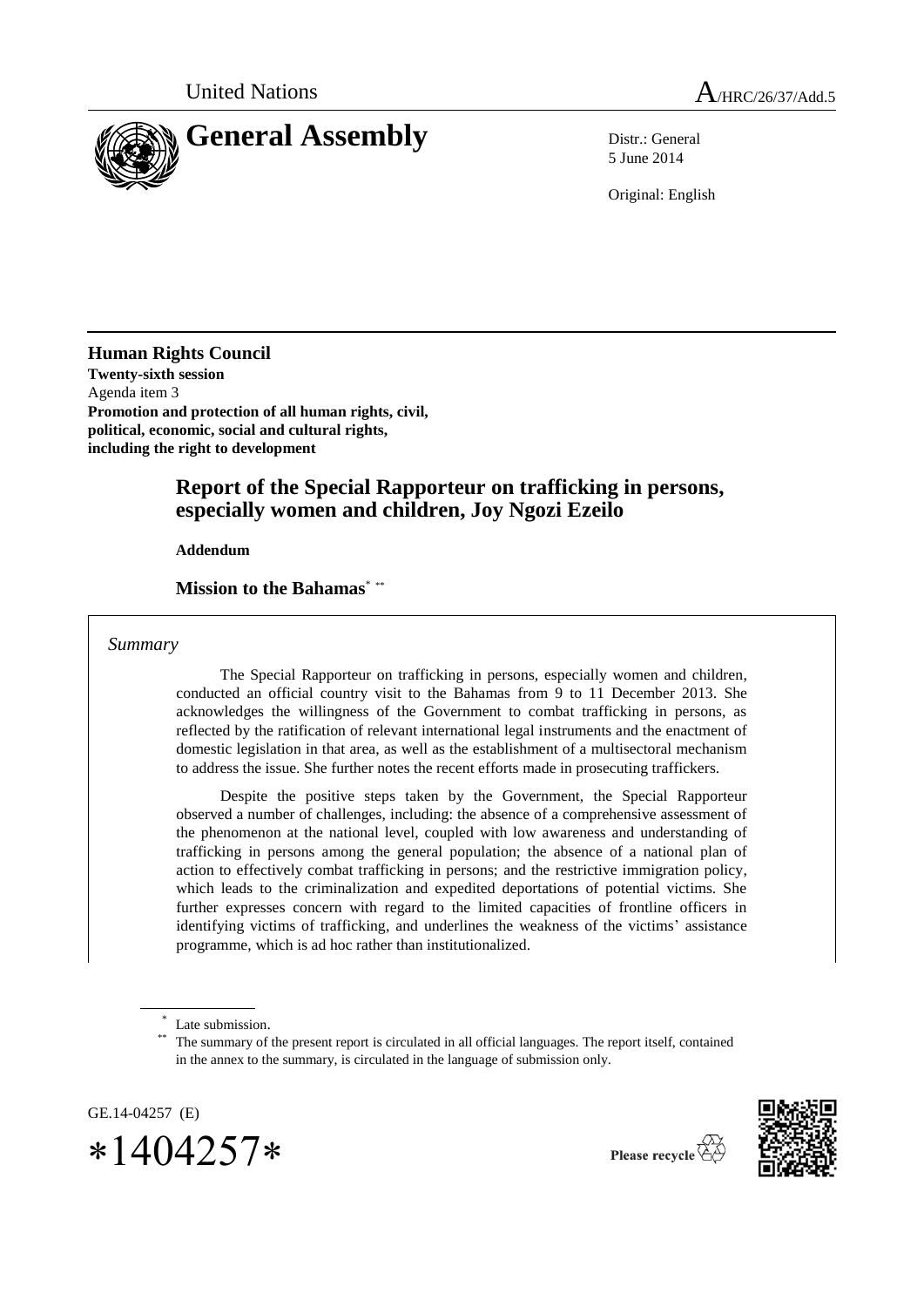

5 June 2014

Original: English

**Human Rights Council Twenty-sixth session** Agenda item 3 **Promotion and protection of all human rights, civil, political, economic, social and cultural rights, including the right to development**

# **Report of the Special Rapporteur on trafficking in persons, especially women and children, Joy Ngozi Ezeilo**

**Addendum**

**Mission to the Bahamas**\* \*\*

*Summary*

The Special Rapporteur on trafficking in persons, especially women and children, conducted an official country visit to the Bahamas from 9 to 11 December 2013. She acknowledges the willingness of the Government to combat trafficking in persons, as reflected by the ratification of relevant international legal instruments and the enactment of domestic legislation in that area, as well as the establishment of a multisectoral mechanism to address the issue. She further notes the recent efforts made in prosecuting traffickers.

Despite the positive steps taken by the Government, the Special Rapporteur observed a number of challenges, including: the absence of a comprehensive assessment of the phenomenon at the national level, coupled with low awareness and understanding of trafficking in persons among the general population; the absence of a national plan of action to effectively combat trafficking in persons; and the restrictive immigration policy, which leads to the criminalization and expedited deportations of potential victims. She further expresses concern with regard to the limited capacities of frontline officers in identifying victims of trafficking, and underlines the weakness of the victims' assistance programme, which is ad hoc rather than institutionalized.

GE.14-04257 (E)  $*1404257*$ 



<sup>\*</sup> Late submission.

The summary of the present report is circulated in all official languages. The report itself, contained in the annex to the summary, is circulated in the language of submission only.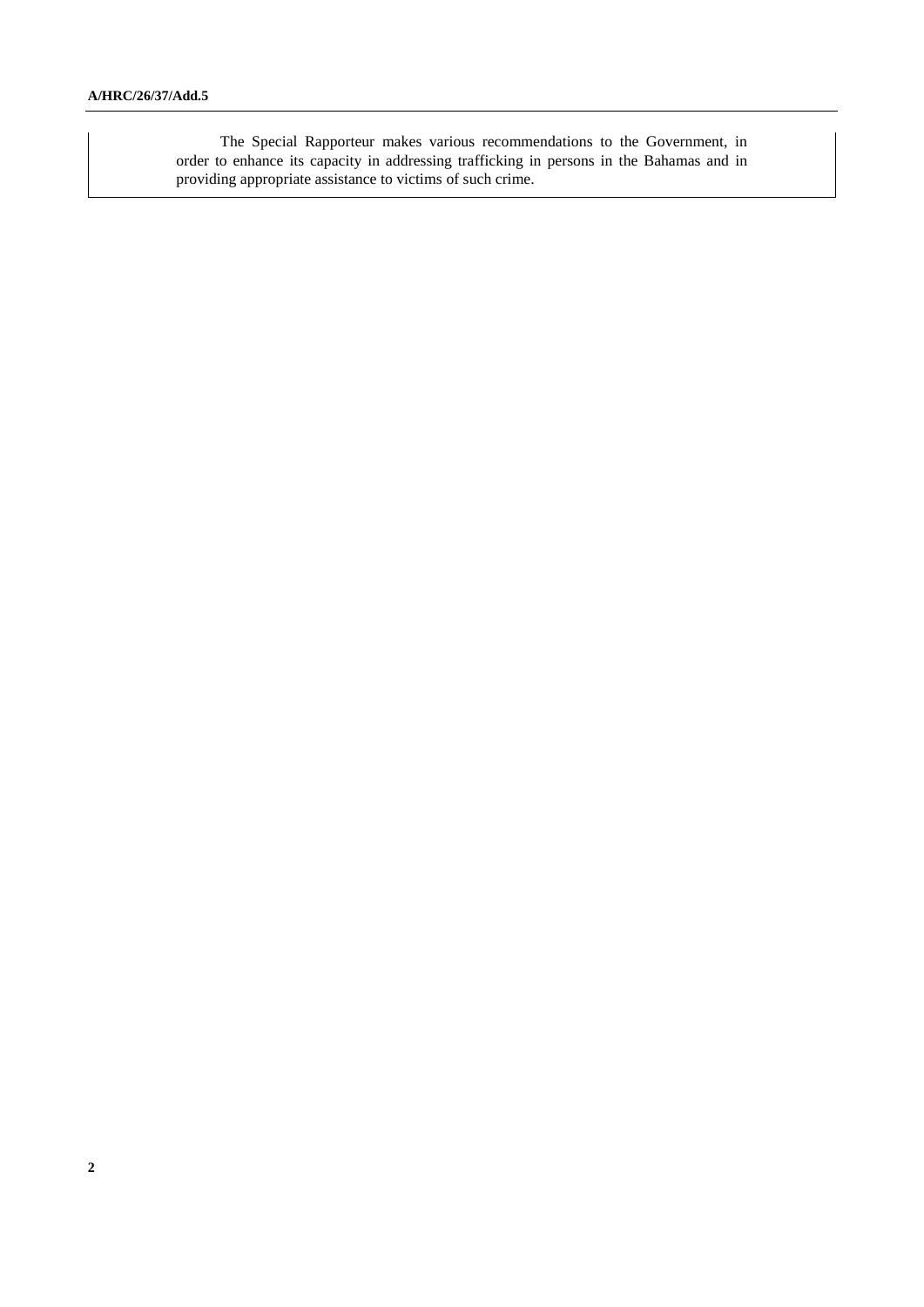The Special Rapporteur makes various recommendations to the Government, in order to enhance its capacity in addressing trafficking in persons in the Bahamas and in providing appropriate assistance to victims of such crime.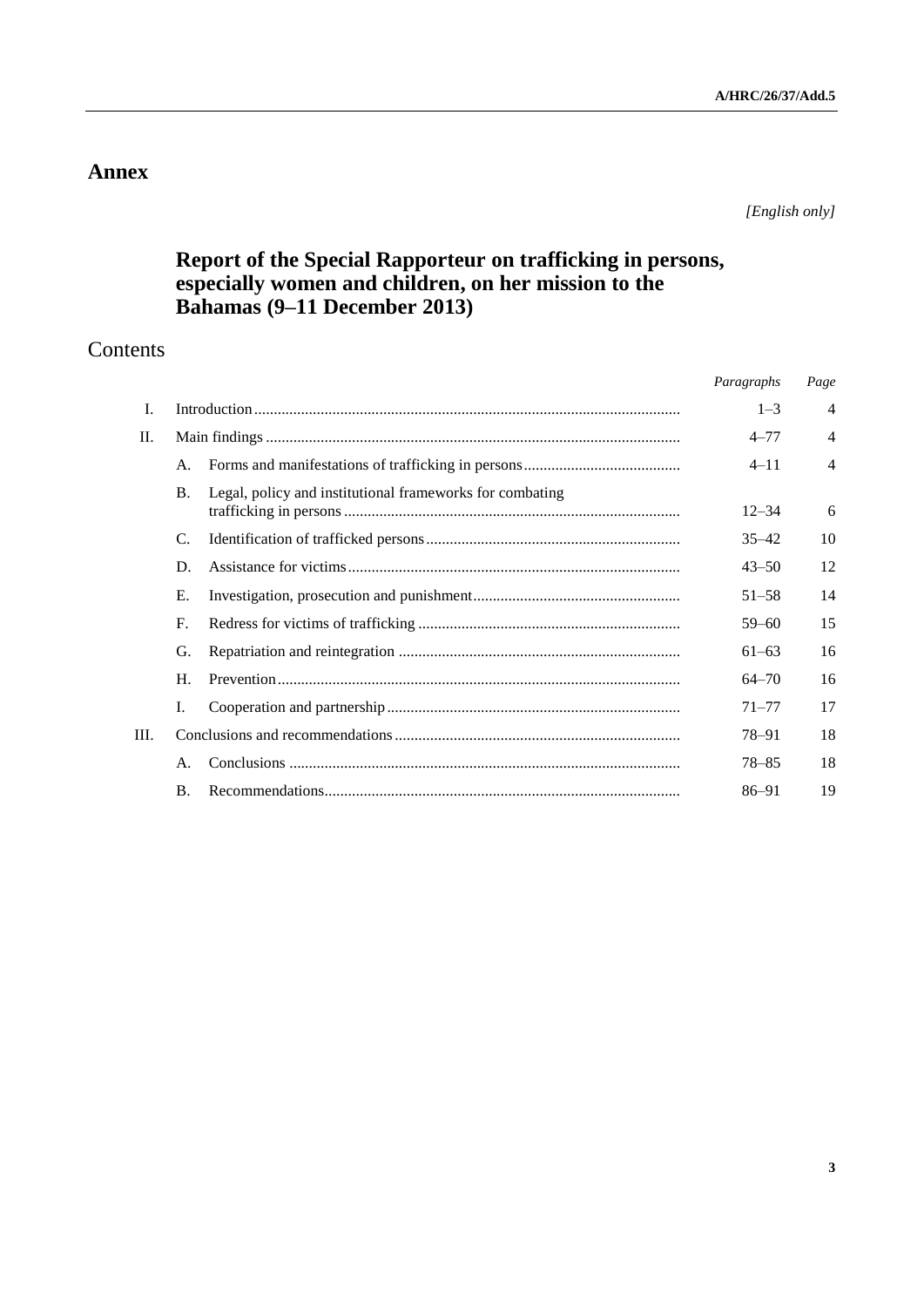# **Annex**

*[English only]*

# **Report of the Special Rapporteur on trafficking in persons, especially women and children, on her mission to the Bahamas (9–11 December 2013)**

# Contents

|      |             |                                                          | Paragraphs | Page           |
|------|-------------|----------------------------------------------------------|------------|----------------|
| I.   |             |                                                          | $1 - 3$    | $\overline{4}$ |
| П.   |             |                                                          | $4 - 77$   | $\overline{4}$ |
|      | A.          |                                                          | $4 - 11$   | $\overline{4}$ |
|      | <b>B.</b>   | Legal, policy and institutional frameworks for combating | $12 - 34$  | 6              |
|      | C.          |                                                          | $35 - 42$  | 10             |
|      | D.          |                                                          | $43 - 50$  | 12             |
|      | Е.          |                                                          | $51 - 58$  | 14             |
|      | F.          |                                                          | $59 - 60$  | 15             |
|      | G.          |                                                          | $61 - 63$  | 16             |
|      | $H_{\cdot}$ |                                                          | $64 - 70$  | 16             |
|      | Ι.          |                                                          | $71 - 77$  | 17             |
| III. |             |                                                          | 78–91      | 18             |
|      | A.          |                                                          | $78 - 85$  | 18             |
|      | $\bf{B}$ .  |                                                          | 86-91      | 19             |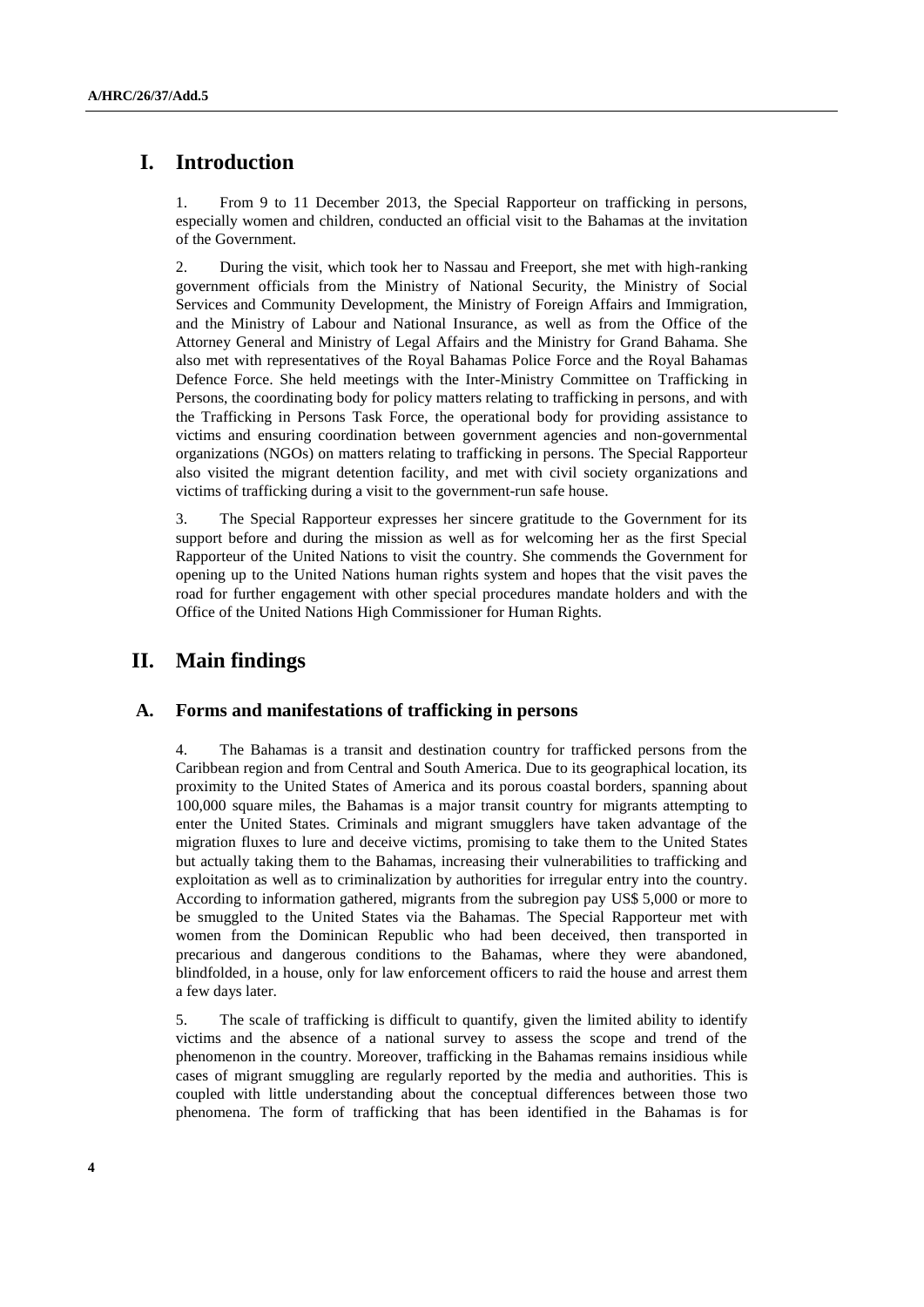# **I. Introduction**

1. From 9 to 11 December 2013, the Special Rapporteur on trafficking in persons, especially women and children, conducted an official visit to the Bahamas at the invitation of the Government.

2. During the visit, which took her to Nassau and Freeport, she met with high-ranking government officials from the Ministry of National Security, the Ministry of Social Services and Community Development, the Ministry of Foreign Affairs and Immigration, and the Ministry of Labour and National Insurance, as well as from the Office of the Attorney General and Ministry of Legal Affairs and the Ministry for Grand Bahama. She also met with representatives of the Royal Bahamas Police Force and the Royal Bahamas Defence Force. She held meetings with the Inter-Ministry Committee on Trafficking in Persons, the coordinating body for policy matters relating to trafficking in persons, and with the Trafficking in Persons Task Force, the operational body for providing assistance to victims and ensuring coordination between government agencies and non-governmental organizations (NGOs) on matters relating to trafficking in persons. The Special Rapporteur also visited the migrant detention facility, and met with civil society organizations and victims of trafficking during a visit to the government-run safe house.

3. The Special Rapporteur expresses her sincere gratitude to the Government for its support before and during the mission as well as for welcoming her as the first Special Rapporteur of the United Nations to visit the country. She commends the Government for opening up to the United Nations human rights system and hopes that the visit paves the road for further engagement with other special procedures mandate holders and with the Office of the United Nations High Commissioner for Human Rights.

# **II. Main findings**

## **A. Forms and manifestations of trafficking in persons**

4. The Bahamas is a transit and destination country for trafficked persons from the Caribbean region and from Central and South America. Due to its geographical location, its proximity to the United States of America and its porous coastal borders, spanning about 100,000 square miles, the Bahamas is a major transit country for migrants attempting to enter the United States. Criminals and migrant smugglers have taken advantage of the migration fluxes to lure and deceive victims, promising to take them to the United States but actually taking them to the Bahamas, increasing their vulnerabilities to trafficking and exploitation as well as to criminalization by authorities for irregular entry into the country. According to information gathered, migrants from the subregion pay US\$ 5,000 or more to be smuggled to the United States via the Bahamas. The Special Rapporteur met with women from the Dominican Republic who had been deceived, then transported in precarious and dangerous conditions to the Bahamas, where they were abandoned, blindfolded, in a house, only for law enforcement officers to raid the house and arrest them a few days later.

5. The scale of trafficking is difficult to quantify, given the limited ability to identify victims and the absence of a national survey to assess the scope and trend of the phenomenon in the country. Moreover, trafficking in the Bahamas remains insidious while cases of migrant smuggling are regularly reported by the media and authorities. This is coupled with little understanding about the conceptual differences between those two phenomena. The form of trafficking that has been identified in the Bahamas is for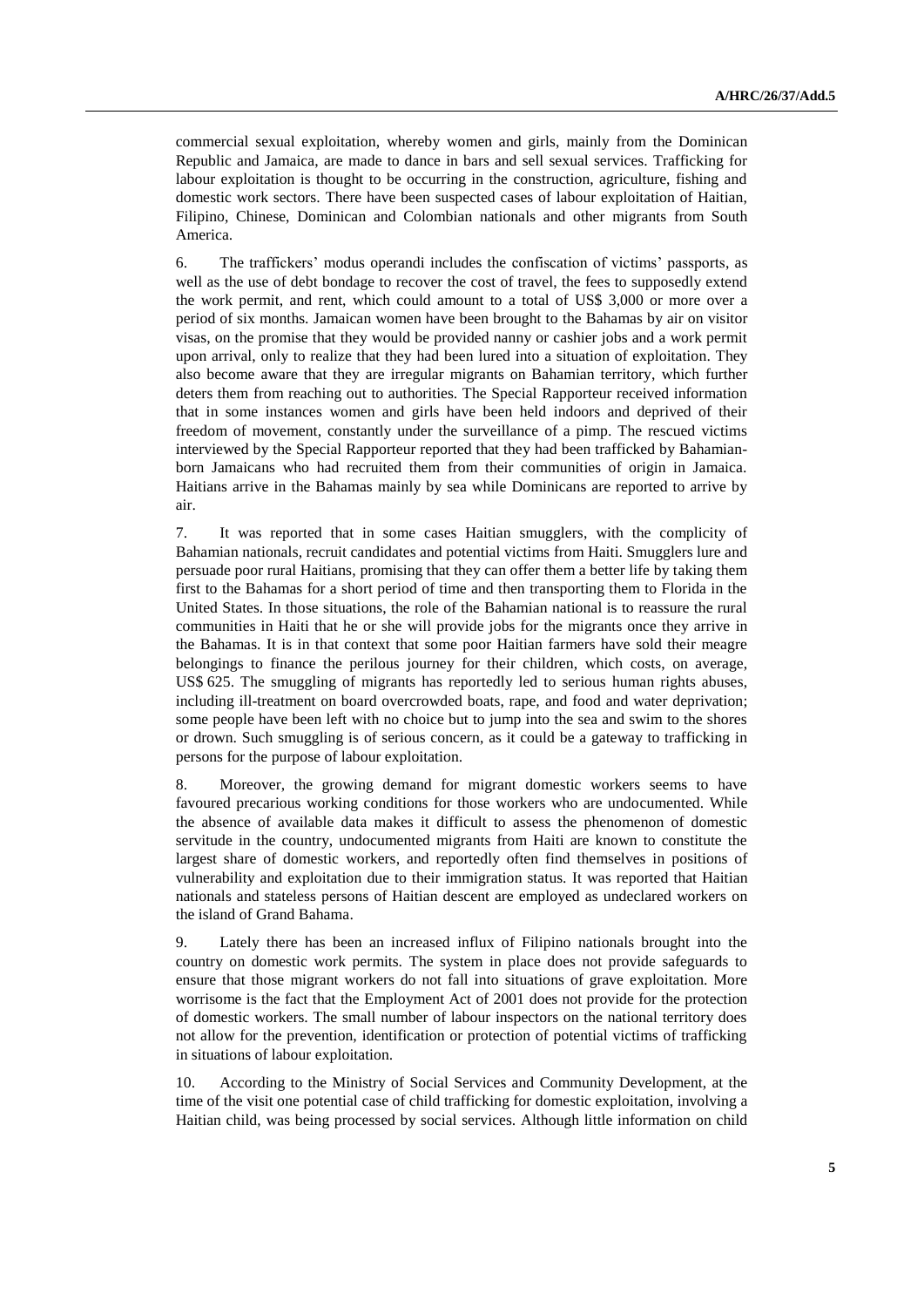commercial sexual exploitation, whereby women and girls, mainly from the Dominican Republic and Jamaica, are made to dance in bars and sell sexual services. Trafficking for labour exploitation is thought to be occurring in the construction, agriculture, fishing and domestic work sectors. There have been suspected cases of labour exploitation of Haitian, Filipino, Chinese, Dominican and Colombian nationals and other migrants from South America.

6. The traffickers' modus operandi includes the confiscation of victims' passports, as well as the use of debt bondage to recover the cost of travel, the fees to supposedly extend the work permit, and rent, which could amount to a total of US\$ 3,000 or more over a period of six months. Jamaican women have been brought to the Bahamas by air on visitor visas, on the promise that they would be provided nanny or cashier jobs and a work permit upon arrival, only to realize that they had been lured into a situation of exploitation. They also become aware that they are irregular migrants on Bahamian territory, which further deters them from reaching out to authorities. The Special Rapporteur received information that in some instances women and girls have been held indoors and deprived of their freedom of movement, constantly under the surveillance of a pimp. The rescued victims interviewed by the Special Rapporteur reported that they had been trafficked by Bahamianborn Jamaicans who had recruited them from their communities of origin in Jamaica. Haitians arrive in the Bahamas mainly by sea while Dominicans are reported to arrive by air.

7. It was reported that in some cases Haitian smugglers, with the complicity of Bahamian nationals, recruit candidates and potential victims from Haiti. Smugglers lure and persuade poor rural Haitians, promising that they can offer them a better life by taking them first to the Bahamas for a short period of time and then transporting them to Florida in the United States. In those situations, the role of the Bahamian national is to reassure the rural communities in Haiti that he or she will provide jobs for the migrants once they arrive in the Bahamas. It is in that context that some poor Haitian farmers have sold their meagre belongings to finance the perilous journey for their children, which costs, on average, US\$ 625. The smuggling of migrants has reportedly led to serious human rights abuses, including ill-treatment on board overcrowded boats, rape, and food and water deprivation; some people have been left with no choice but to jump into the sea and swim to the shores or drown. Such smuggling is of serious concern, as it could be a gateway to trafficking in persons for the purpose of labour exploitation.

8. Moreover, the growing demand for migrant domestic workers seems to have favoured precarious working conditions for those workers who are undocumented. While the absence of available data makes it difficult to assess the phenomenon of domestic servitude in the country, undocumented migrants from Haiti are known to constitute the largest share of domestic workers, and reportedly often find themselves in positions of vulnerability and exploitation due to their immigration status. It was reported that Haitian nationals and stateless persons of Haitian descent are employed as undeclared workers on the island of Grand Bahama.

9. Lately there has been an increased influx of Filipino nationals brought into the country on domestic work permits. The system in place does not provide safeguards to ensure that those migrant workers do not fall into situations of grave exploitation. More worrisome is the fact that the Employment Act of 2001 does not provide for the protection of domestic workers. The small number of labour inspectors on the national territory does not allow for the prevention, identification or protection of potential victims of trafficking in situations of labour exploitation.

10. According to the Ministry of Social Services and Community Development, at the time of the visit one potential case of child trafficking for domestic exploitation, involving a Haitian child, was being processed by social services. Although little information on child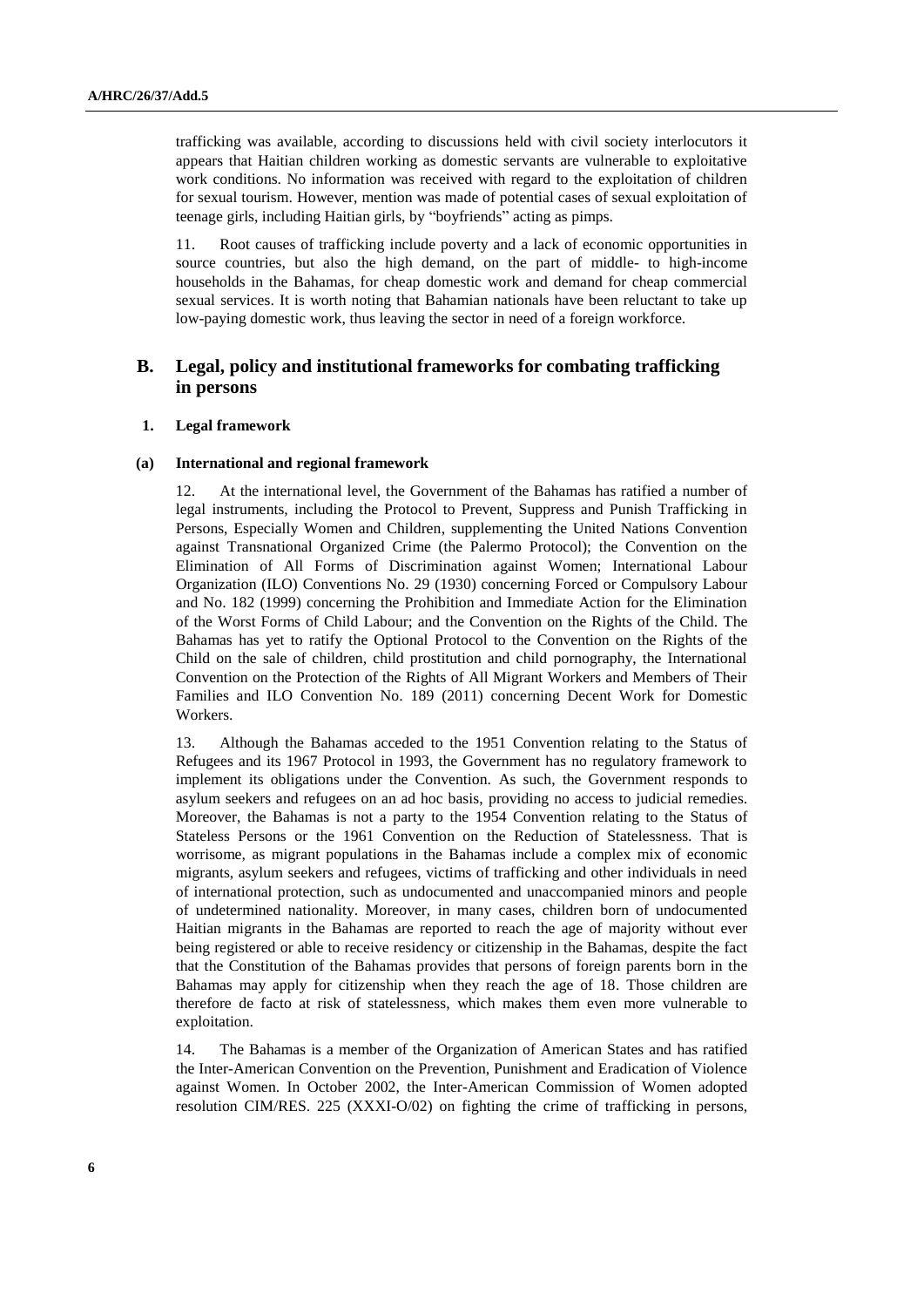trafficking was available, according to discussions held with civil society interlocutors it appears that Haitian children working as domestic servants are vulnerable to exploitative work conditions. No information was received with regard to the exploitation of children for sexual tourism. However, mention was made of potential cases of sexual exploitation of teenage girls, including Haitian girls, by "boyfriends" acting as pimps.

11. Root causes of trafficking include poverty and a lack of economic opportunities in source countries, but also the high demand, on the part of middle- to high-income households in the Bahamas, for cheap domestic work and demand for cheap commercial sexual services. It is worth noting that Bahamian nationals have been reluctant to take up low-paying domestic work, thus leaving the sector in need of a foreign workforce.

## **B. Legal, policy and institutional frameworks for combating trafficking in persons**

#### **1. Legal framework**

#### **(a) International and regional framework**

12. At the international level, the Government of the Bahamas has ratified a number of legal instruments, including the Protocol to Prevent, Suppress and Punish Trafficking in Persons, Especially Women and Children, supplementing the United Nations Convention against Transnational Organized Crime (the Palermo Protocol); the Convention on the Elimination of All Forms of Discrimination against Women; International Labour Organization (ILO) Conventions No. 29 (1930) concerning Forced or Compulsory Labour and No. 182 (1999) concerning the Prohibition and Immediate Action for the Elimination of the Worst Forms of Child Labour; and the Convention on the Rights of the Child. The Bahamas has yet to ratify the Optional Protocol to the Convention on the Rights of the Child on the sale of children, child prostitution and child pornography, the International Convention on the Protection of the Rights of All Migrant Workers and Members of Their Families and ILO Convention No. 189 (2011) concerning Decent Work for Domestic Workers.

13. Although the Bahamas acceded to the 1951 Convention relating to the Status of Refugees and its 1967 Protocol in 1993, the Government has no regulatory framework to implement its obligations under the Convention. As such, the Government responds to asylum seekers and refugees on an ad hoc basis, providing no access to judicial remedies. Moreover, the Bahamas is not a party to the 1954 Convention relating to the Status of Stateless Persons or the 1961 Convention on the Reduction of Statelessness. That is worrisome, as migrant populations in the Bahamas include a complex mix of economic migrants, asylum seekers and refugees, victims of trafficking and other individuals in need of international protection, such as undocumented and unaccompanied minors and people of undetermined nationality. Moreover, in many cases, children born of undocumented Haitian migrants in the Bahamas are reported to reach the age of majority without ever being registered or able to receive residency or citizenship in the Bahamas, despite the fact that the Constitution of the Bahamas provides that persons of foreign parents born in the Bahamas may apply for citizenship when they reach the age of 18. Those children are therefore de facto at risk of statelessness, which makes them even more vulnerable to exploitation.

14. The Bahamas is a member of the Organization of American States and has ratified the Inter-American Convention on the Prevention, Punishment and Eradication of Violence against Women. In October 2002, the Inter-American Commission of Women adopted resolution CIM/RES. 225 (XXXI-O/02) on fighting the crime of trafficking in persons,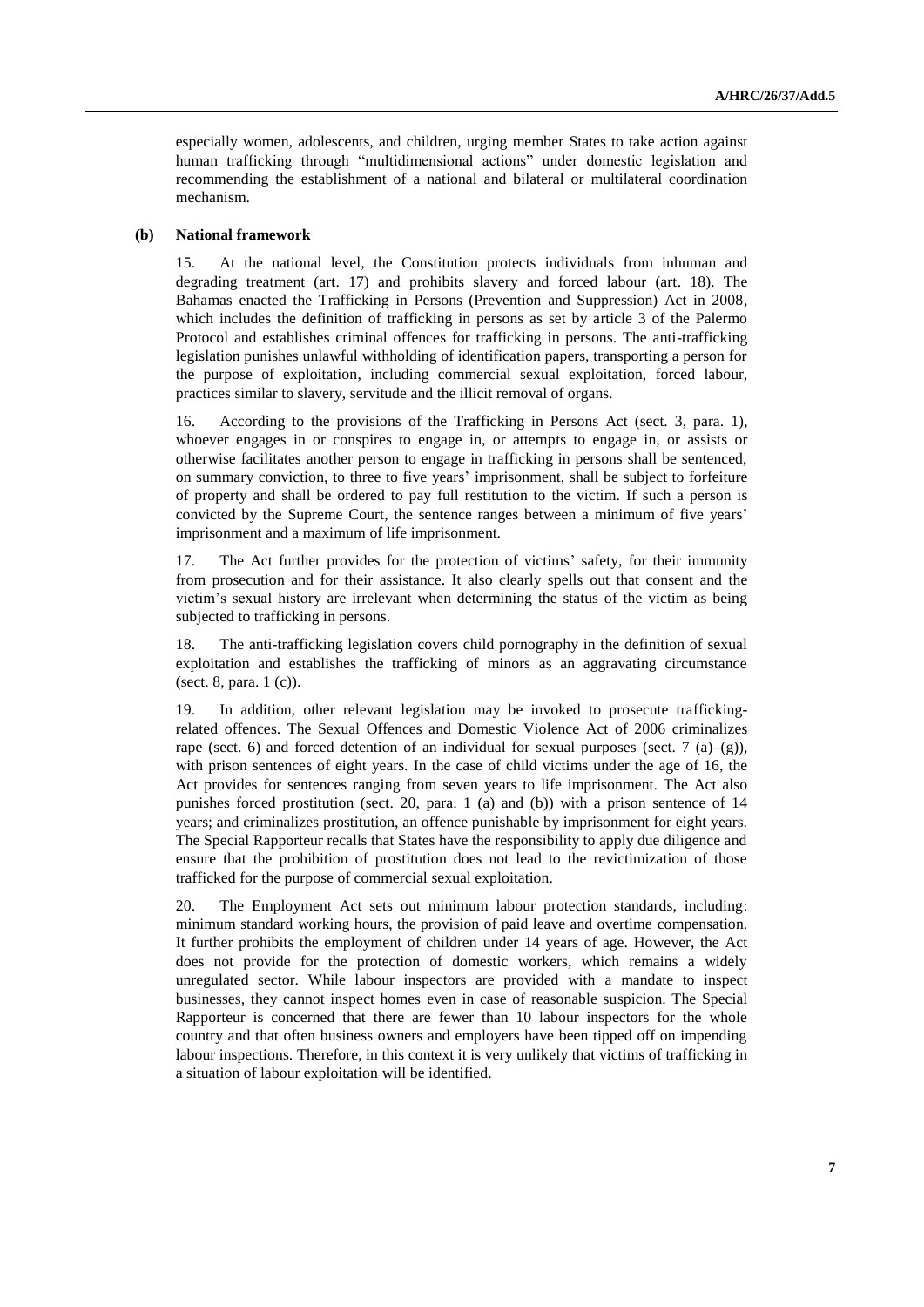especially women, adolescents, and children, urging member States to take action against human trafficking through "multidimensional actions" under domestic legislation and recommending the establishment of a national and bilateral or multilateral coordination mechanism.

#### **(b) National framework**

15. At the national level, the Constitution protects individuals from inhuman and degrading treatment (art. 17) and prohibits slavery and forced labour (art. 18). The Bahamas enacted the Trafficking in Persons (Prevention and Suppression) Act in 2008, which includes the definition of trafficking in persons as set by article 3 of the Palermo Protocol and establishes criminal offences for trafficking in persons. The anti-trafficking legislation punishes unlawful withholding of identification papers, transporting a person for the purpose of exploitation, including commercial sexual exploitation, forced labour, practices similar to slavery, servitude and the illicit removal of organs.

16. According to the provisions of the Trafficking in Persons Act (sect. 3, para. 1), whoever engages in or conspires to engage in, or attempts to engage in, or assists or otherwise facilitates another person to engage in trafficking in persons shall be sentenced, on summary conviction, to three to five years' imprisonment, shall be subject to forfeiture of property and shall be ordered to pay full restitution to the victim. If such a person is convicted by the Supreme Court, the sentence ranges between a minimum of five years' imprisonment and a maximum of life imprisonment.

17. The Act further provides for the protection of victims' safety, for their immunity from prosecution and for their assistance. It also clearly spells out that consent and the victim's sexual history are irrelevant when determining the status of the victim as being subjected to trafficking in persons.

18. The anti-trafficking legislation covers child pornography in the definition of sexual exploitation and establishes the trafficking of minors as an aggravating circumstance (sect. 8, para. 1 (c)).

19. In addition, other relevant legislation may be invoked to prosecute traffickingrelated offences. The Sexual Offences and Domestic Violence Act of 2006 criminalizes rape (sect. 6) and forced detention of an individual for sexual purposes (sect. 7 (a)–(g)), with prison sentences of eight years. In the case of child victims under the age of 16, the Act provides for sentences ranging from seven years to life imprisonment. The Act also punishes forced prostitution (sect. 20, para. 1 (a) and (b)) with a prison sentence of 14 years; and criminalizes prostitution, an offence punishable by imprisonment for eight years. The Special Rapporteur recalls that States have the responsibility to apply due diligence and ensure that the prohibition of prostitution does not lead to the revictimization of those trafficked for the purpose of commercial sexual exploitation.

20. The Employment Act sets out minimum labour protection standards, including: minimum standard working hours, the provision of paid leave and overtime compensation. It further prohibits the employment of children under 14 years of age. However, the Act does not provide for the protection of domestic workers, which remains a widely unregulated sector. While labour inspectors are provided with a mandate to inspect businesses, they cannot inspect homes even in case of reasonable suspicion. The Special Rapporteur is concerned that there are fewer than 10 labour inspectors for the whole country and that often business owners and employers have been tipped off on impending labour inspections. Therefore, in this context it is very unlikely that victims of trafficking in a situation of labour exploitation will be identified.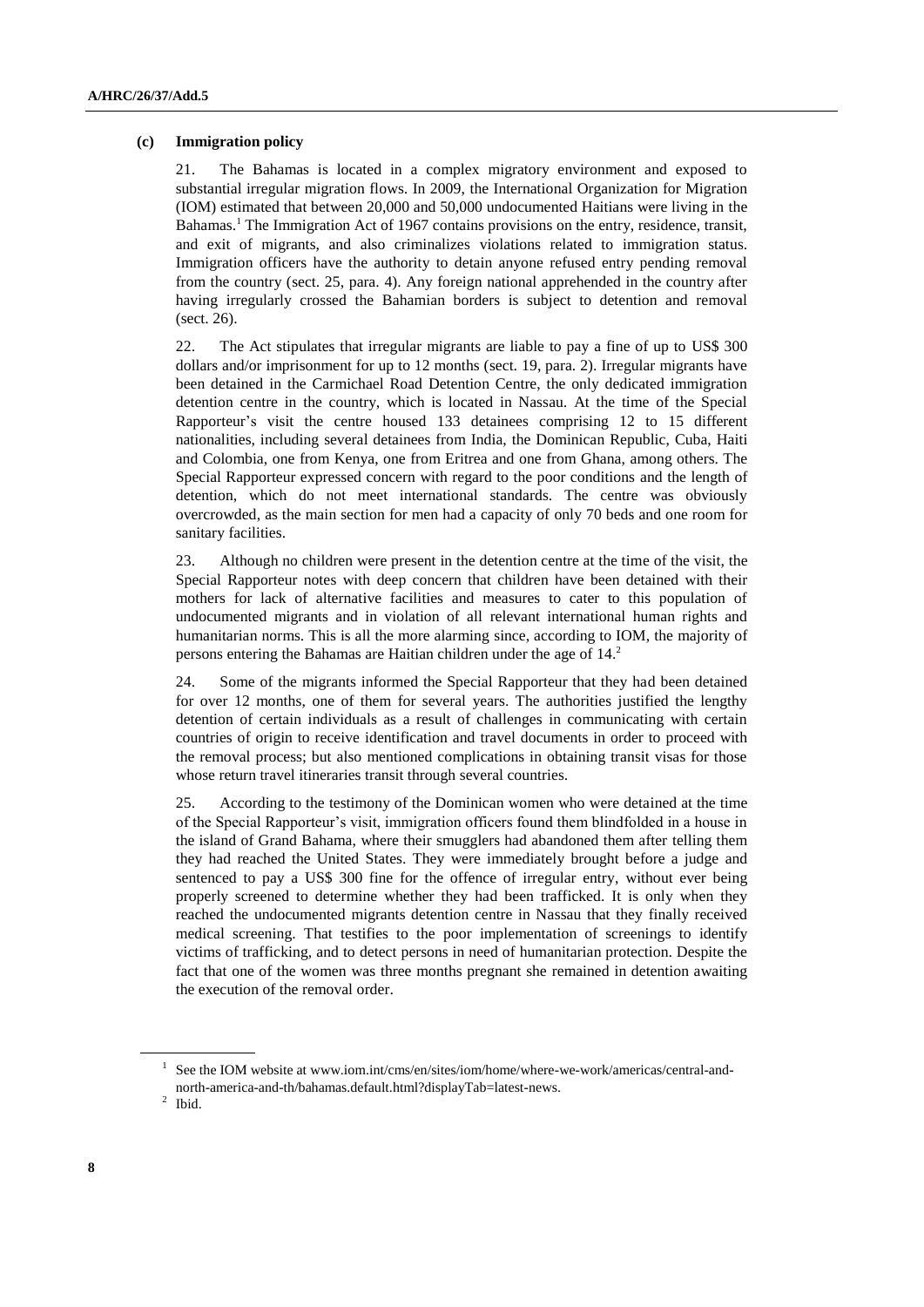### **(c) Immigration policy**

21. The Bahamas is located in a complex migratory environment and exposed to substantial irregular migration flows. In 2009, the International Organization for Migration (IOM) estimated that between 20,000 and 50,000 undocumented Haitians were living in the Bahamas. <sup>1</sup> The Immigration Act of 1967 contains provisions on the entry, residence, transit, and exit of migrants, and also criminalizes violations related to immigration status. Immigration officers have the authority to detain anyone refused entry pending removal from the country (sect. 25, para. 4). Any foreign national apprehended in the country after having irregularly crossed the Bahamian borders is subject to detention and removal (sect. 26).

22. The Act stipulates that irregular migrants are liable to pay a fine of up to US\$ 300 dollars and/or imprisonment for up to 12 months (sect. 19, para. 2). Irregular migrants have been detained in the Carmichael Road Detention Centre, the only dedicated immigration detention centre in the country, which is located in Nassau. At the time of the Special Rapporteur's visit the centre housed 133 detainees comprising 12 to 15 different nationalities, including several detainees from India, the Dominican Republic, Cuba, Haiti and Colombia, one from Kenya, one from Eritrea and one from Ghana, among others. The Special Rapporteur expressed concern with regard to the poor conditions and the length of detention, which do not meet international standards. The centre was obviously overcrowded, as the main section for men had a capacity of only 70 beds and one room for sanitary facilities.

23. Although no children were present in the detention centre at the time of the visit, the Special Rapporteur notes with deep concern that children have been detained with their mothers for lack of alternative facilities and measures to cater to this population of undocumented migrants and in violation of all relevant international human rights and humanitarian norms. This is all the more alarming since, according to IOM, the majority of persons entering the Bahamas are Haitian children under the age of 14. 2

24. Some of the migrants informed the Special Rapporteur that they had been detained for over 12 months, one of them for several years. The authorities justified the lengthy detention of certain individuals as a result of challenges in communicating with certain countries of origin to receive identification and travel documents in order to proceed with the removal process; but also mentioned complications in obtaining transit visas for those whose return travel itineraries transit through several countries.

25. According to the testimony of the Dominican women who were detained at the time of the Special Rapporteur's visit, immigration officers found them blindfolded in a house in the island of Grand Bahama, where their smugglers had abandoned them after telling them they had reached the United States. They were immediately brought before a judge and sentenced to pay a US\$ 300 fine for the offence of irregular entry, without ever being properly screened to determine whether they had been trafficked. It is only when they reached the undocumented migrants detention centre in Nassau that they finally received medical screening. That testifies to the poor implementation of screenings to identify victims of trafficking, and to detect persons in need of humanitarian protection. Despite the fact that one of the women was three months pregnant she remained in detention awaiting the execution of the removal order.

<sup>1</sup> See the IOM website at www.iom.int/cms/en/sites/iom/home/where-we-work/americas/central-andnorth-america-and-th/bahamas.default.html?displayTab=latest-news.

 $<sup>2</sup>$  Ibid.</sup>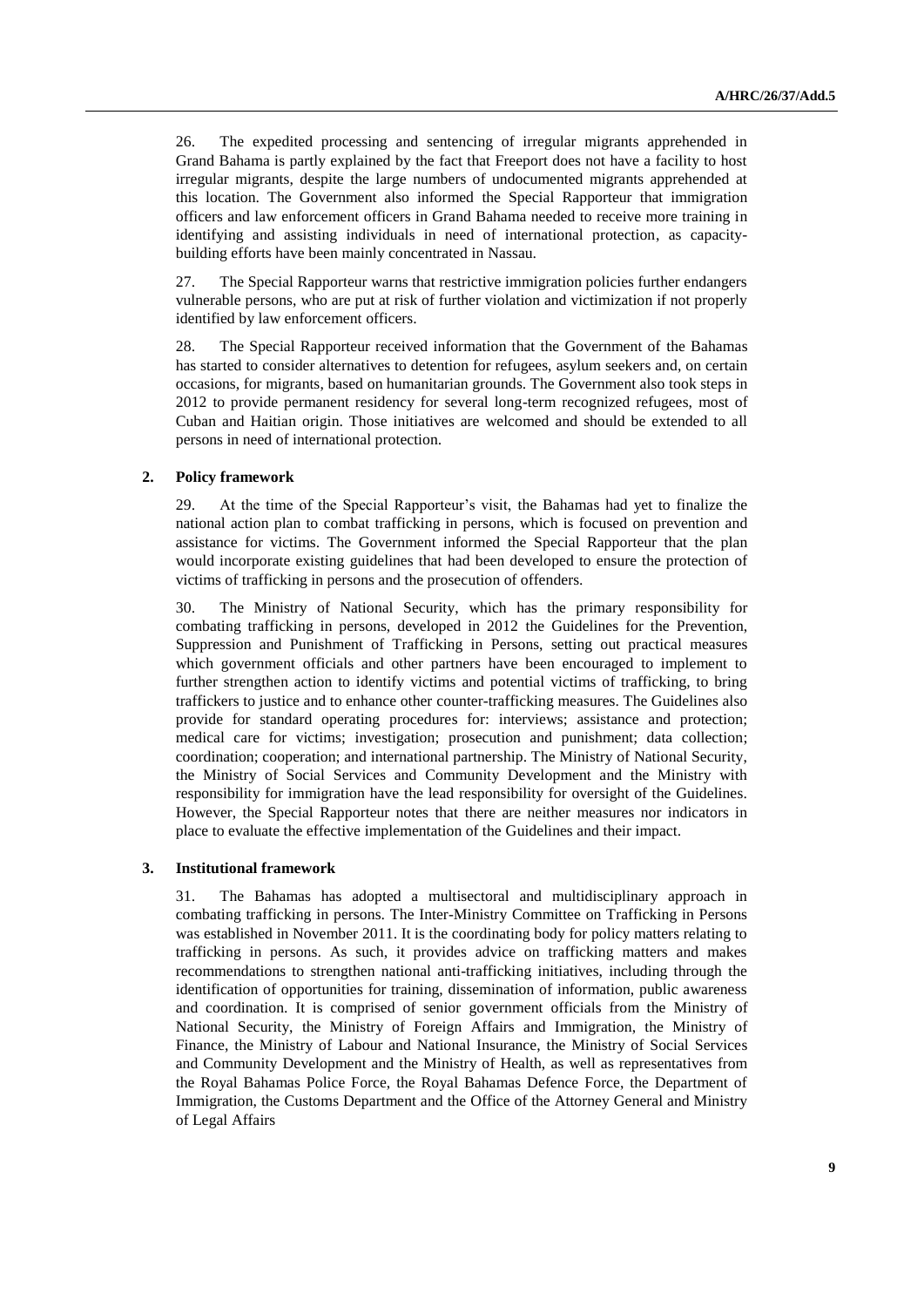26. The expedited processing and sentencing of irregular migrants apprehended in Grand Bahama is partly explained by the fact that Freeport does not have a facility to host irregular migrants, despite the large numbers of undocumented migrants apprehended at this location. The Government also informed the Special Rapporteur that immigration officers and law enforcement officers in Grand Bahama needed to receive more training in identifying and assisting individuals in need of international protection, as capacitybuilding efforts have been mainly concentrated in Nassau.

27. The Special Rapporteur warns that restrictive immigration policies further endangers vulnerable persons, who are put at risk of further violation and victimization if not properly identified by law enforcement officers.

28. The Special Rapporteur received information that the Government of the Bahamas has started to consider alternatives to detention for refugees, asylum seekers and, on certain occasions, for migrants, based on humanitarian grounds. The Government also took steps in 2012 to provide permanent residency for several long-term recognized refugees, most of Cuban and Haitian origin. Those initiatives are welcomed and should be extended to all persons in need of international protection.

### **2. Policy framework**

29. At the time of the Special Rapporteur's visit, the Bahamas had yet to finalize the national action plan to combat trafficking in persons, which is focused on prevention and assistance for victims. The Government informed the Special Rapporteur that the plan would incorporate existing guidelines that had been developed to ensure the protection of victims of trafficking in persons and the prosecution of offenders.

30. The Ministry of National Security, which has the primary responsibility for combating trafficking in persons, developed in 2012 the Guidelines for the Prevention, Suppression and Punishment of Trafficking in Persons, setting out practical measures which government officials and other partners have been encouraged to implement to further strengthen action to identify victims and potential victims of trafficking, to bring traffickers to justice and to enhance other counter-trafficking measures. The Guidelines also provide for standard operating procedures for: interviews; assistance and protection; medical care for victims; investigation; prosecution and punishment; data collection; coordination; cooperation; and international partnership. The Ministry of National Security, the Ministry of Social Services and Community Development and the Ministry with responsibility for immigration have the lead responsibility for oversight of the Guidelines. However, the Special Rapporteur notes that there are neither measures nor indicators in place to evaluate the effective implementation of the Guidelines and their impact.

#### **3. Institutional framework**

31. The Bahamas has adopted a multisectoral and multidisciplinary approach in combating trafficking in persons. The Inter-Ministry Committee on Trafficking in Persons was established in November 2011. It is the coordinating body for policy matters relating to trafficking in persons. As such, it provides advice on trafficking matters and makes recommendations to strengthen national anti-trafficking initiatives, including through the identification of opportunities for training, dissemination of information, public awareness and coordination. It is comprised of senior government officials from the Ministry of National Security, the Ministry of Foreign Affairs and Immigration, the Ministry of Finance, the Ministry of Labour and National Insurance, the Ministry of Social Services and Community Development and the Ministry of Health, as well as representatives from the Royal Bahamas Police Force, the Royal Bahamas Defence Force, the Department of Immigration, the Customs Department and the Office of the Attorney General and Ministry of Legal Affairs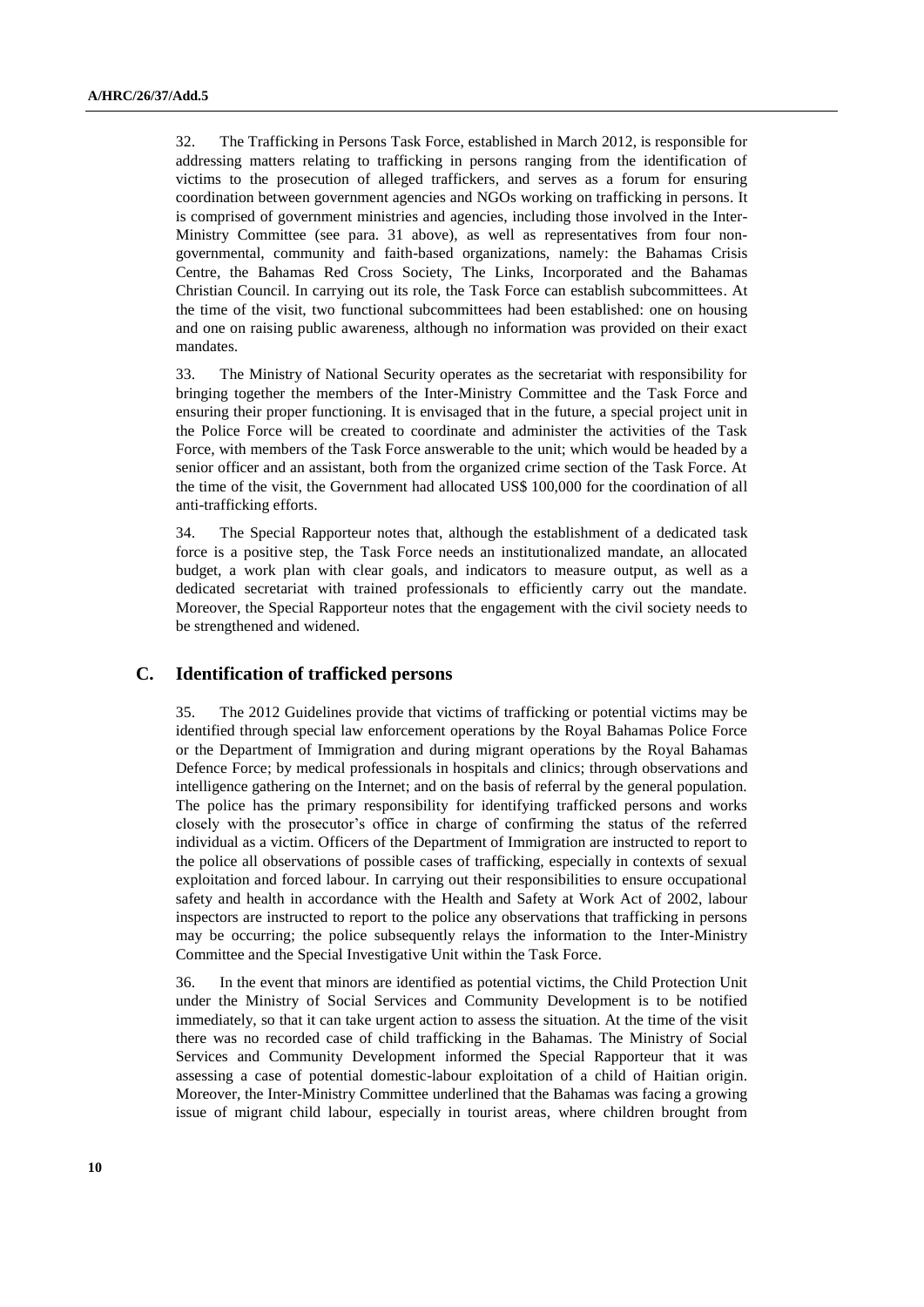32. The Trafficking in Persons Task Force, established in March 2012, is responsible for addressing matters relating to trafficking in persons ranging from the identification of victims to the prosecution of alleged traffickers, and serves as a forum for ensuring coordination between government agencies and NGOs working on trafficking in persons. It is comprised of government ministries and agencies, including those involved in the Inter-Ministry Committee (see para. 31 above), as well as representatives from four nongovernmental, community and faith-based organizations, namely: the Bahamas Crisis Centre, the Bahamas Red Cross Society, The Links, Incorporated and the Bahamas Christian Council. In carrying out its role, the Task Force can establish subcommittees. At the time of the visit, two functional subcommittees had been established: one on housing and one on raising public awareness, although no information was provided on their exact mandates.

33. The Ministry of National Security operates as the secretariat with responsibility for bringing together the members of the Inter-Ministry Committee and the Task Force and ensuring their proper functioning. It is envisaged that in the future, a special project unit in the Police Force will be created to coordinate and administer the activities of the Task Force, with members of the Task Force answerable to the unit; which would be headed by a senior officer and an assistant, both from the organized crime section of the Task Force. At the time of the visit, the Government had allocated US\$ 100,000 for the coordination of all anti-trafficking efforts.

34. The Special Rapporteur notes that, although the establishment of a dedicated task force is a positive step, the Task Force needs an institutionalized mandate, an allocated budget, a work plan with clear goals, and indicators to measure output, as well as a dedicated secretariat with trained professionals to efficiently carry out the mandate. Moreover, the Special Rapporteur notes that the engagement with the civil society needs to be strengthened and widened.

### **C. Identification of trafficked persons**

35. The 2012 Guidelines provide that victims of trafficking or potential victims may be identified through special law enforcement operations by the Royal Bahamas Police Force or the Department of Immigration and during migrant operations by the Royal Bahamas Defence Force; by medical professionals in hospitals and clinics; through observations and intelligence gathering on the Internet; and on the basis of referral by the general population. The police has the primary responsibility for identifying trafficked persons and works closely with the prosecutor's office in charge of confirming the status of the referred individual as a victim. Officers of the Department of Immigration are instructed to report to the police all observations of possible cases of trafficking, especially in contexts of sexual exploitation and forced labour. In carrying out their responsibilities to ensure occupational safety and health in accordance with the Health and Safety at Work Act of 2002, labour inspectors are instructed to report to the police any observations that trafficking in persons may be occurring; the police subsequently relays the information to the Inter-Ministry Committee and the Special Investigative Unit within the Task Force.

36. In the event that minors are identified as potential victims, the Child Protection Unit under the Ministry of Social Services and Community Development is to be notified immediately, so that it can take urgent action to assess the situation. At the time of the visit there was no recorded case of child trafficking in the Bahamas. The Ministry of Social Services and Community Development informed the Special Rapporteur that it was assessing a case of potential domestic-labour exploitation of a child of Haitian origin. Moreover, the Inter-Ministry Committee underlined that the Bahamas was facing a growing issue of migrant child labour, especially in tourist areas, where children brought from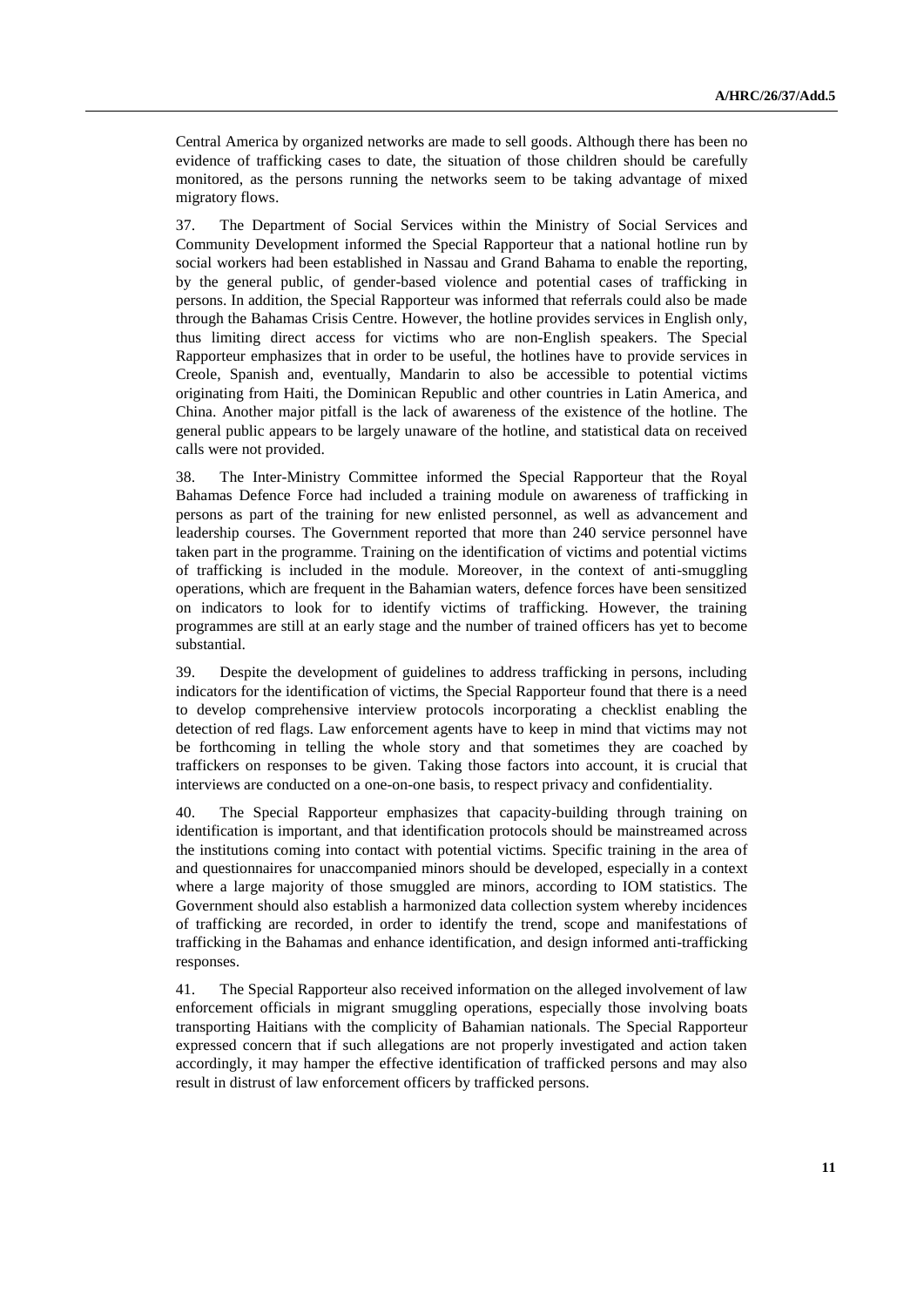Central America by organized networks are made to sell goods. Although there has been no evidence of trafficking cases to date, the situation of those children should be carefully monitored, as the persons running the networks seem to be taking advantage of mixed migratory flows.

37. The Department of Social Services within the Ministry of Social Services and Community Development informed the Special Rapporteur that a national hotline run by social workers had been established in Nassau and Grand Bahama to enable the reporting, by the general public, of gender-based violence and potential cases of trafficking in persons. In addition, the Special Rapporteur was informed that referrals could also be made through the Bahamas Crisis Centre. However, the hotline provides services in English only, thus limiting direct access for victims who are non-English speakers. The Special Rapporteur emphasizes that in order to be useful, the hotlines have to provide services in Creole, Spanish and, eventually, Mandarin to also be accessible to potential victims originating from Haiti, the Dominican Republic and other countries in Latin America, and China. Another major pitfall is the lack of awareness of the existence of the hotline. The general public appears to be largely unaware of the hotline, and statistical data on received calls were not provided.

38. The Inter-Ministry Committee informed the Special Rapporteur that the Royal Bahamas Defence Force had included a training module on awareness of trafficking in persons as part of the training for new enlisted personnel, as well as advancement and leadership courses. The Government reported that more than 240 service personnel have taken part in the programme. Training on the identification of victims and potential victims of trafficking is included in the module. Moreover, in the context of anti-smuggling operations, which are frequent in the Bahamian waters, defence forces have been sensitized on indicators to look for to identify victims of trafficking. However, the training programmes are still at an early stage and the number of trained officers has yet to become substantial.

39. Despite the development of guidelines to address trafficking in persons, including indicators for the identification of victims, the Special Rapporteur found that there is a need to develop comprehensive interview protocols incorporating a checklist enabling the detection of red flags. Law enforcement agents have to keep in mind that victims may not be forthcoming in telling the whole story and that sometimes they are coached by traffickers on responses to be given. Taking those factors into account, it is crucial that interviews are conducted on a one-on-one basis, to respect privacy and confidentiality.

40. The Special Rapporteur emphasizes that capacity-building through training on identification is important, and that identification protocols should be mainstreamed across the institutions coming into contact with potential victims. Specific training in the area of and questionnaires for unaccompanied minors should be developed, especially in a context where a large majority of those smuggled are minors, according to IOM statistics. The Government should also establish a harmonized data collection system whereby incidences of trafficking are recorded, in order to identify the trend, scope and manifestations of trafficking in the Bahamas and enhance identification, and design informed anti-trafficking responses.

41. The Special Rapporteur also received information on the alleged involvement of law enforcement officials in migrant smuggling operations, especially those involving boats transporting Haitians with the complicity of Bahamian nationals. The Special Rapporteur expressed concern that if such allegations are not properly investigated and action taken accordingly, it may hamper the effective identification of trafficked persons and may also result in distrust of law enforcement officers by trafficked persons.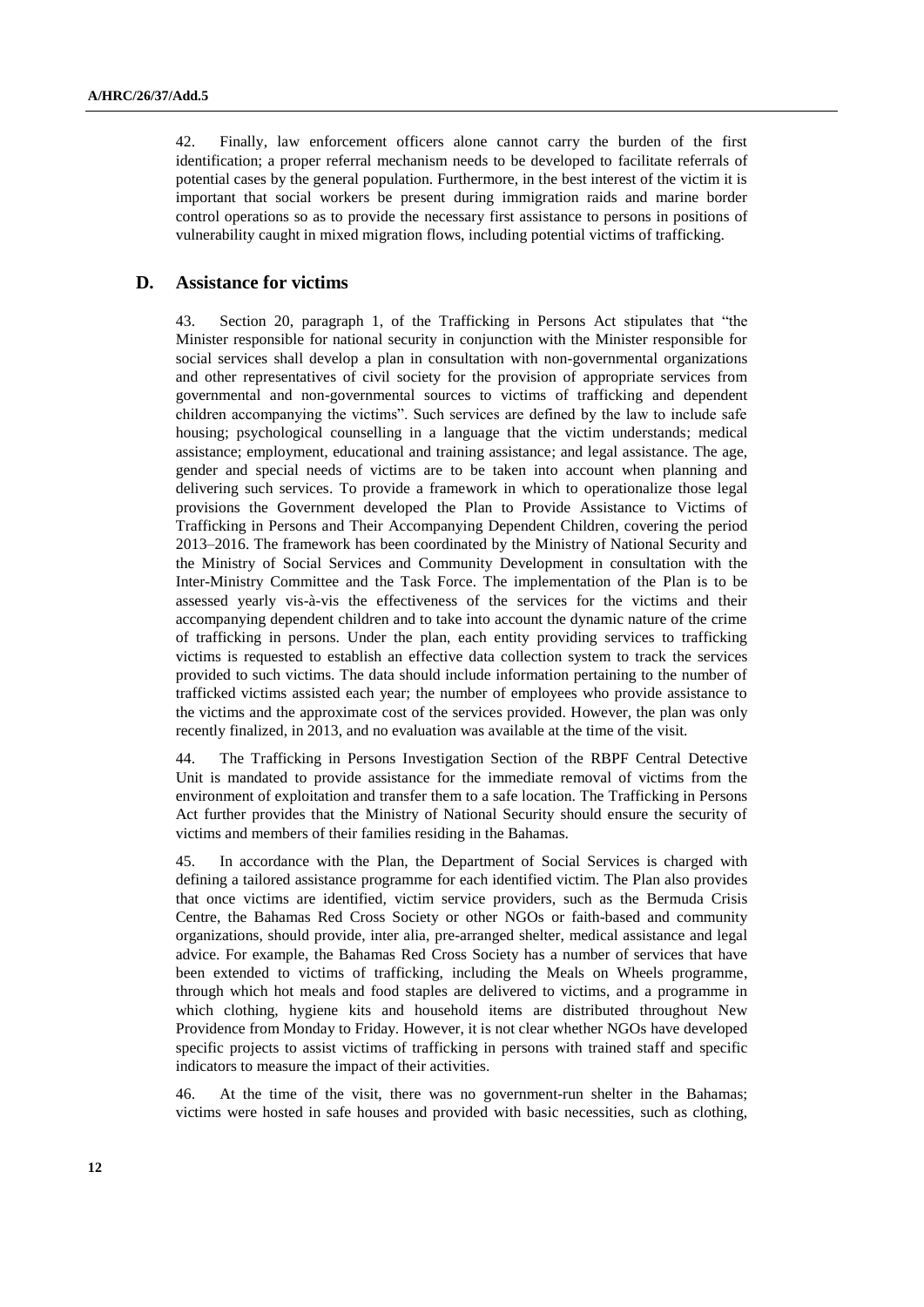42. Finally, law enforcement officers alone cannot carry the burden of the first identification; a proper referral mechanism needs to be developed to facilitate referrals of potential cases by the general population. Furthermore, in the best interest of the victim it is important that social workers be present during immigration raids and marine border control operations so as to provide the necessary first assistance to persons in positions of vulnerability caught in mixed migration flows, including potential victims of trafficking.

## **D. Assistance for victims**

43. Section 20, paragraph 1, of the Trafficking in Persons Act stipulates that "the Minister responsible for national security in conjunction with the Minister responsible for social services shall develop a plan in consultation with non-governmental organizations and other representatives of civil society for the provision of appropriate services from governmental and non-governmental sources to victims of trafficking and dependent children accompanying the victims". Such services are defined by the law to include safe housing; psychological counselling in a language that the victim understands; medical assistance; employment, educational and training assistance; and legal assistance. The age, gender and special needs of victims are to be taken into account when planning and delivering such services. To provide a framework in which to operationalize those legal provisions the Government developed the Plan to Provide Assistance to Victims of Trafficking in Persons and Their Accompanying Dependent Children, covering the period 2013–2016. The framework has been coordinated by the Ministry of National Security and the Ministry of Social Services and Community Development in consultation with the Inter-Ministry Committee and the Task Force. The implementation of the Plan is to be assessed yearly vis-à-vis the effectiveness of the services for the victims and their accompanying dependent children and to take into account the dynamic nature of the crime of trafficking in persons. Under the plan, each entity providing services to trafficking victims is requested to establish an effective data collection system to track the services provided to such victims. The data should include information pertaining to the number of trafficked victims assisted each year; the number of employees who provide assistance to the victims and the approximate cost of the services provided. However, the plan was only recently finalized, in 2013, and no evaluation was available at the time of the visit.

44. The Trafficking in Persons Investigation Section of the RBPF Central Detective Unit is mandated to provide assistance for the immediate removal of victims from the environment of exploitation and transfer them to a safe location. The Trafficking in Persons Act further provides that the Ministry of National Security should ensure the security of victims and members of their families residing in the Bahamas.

45. In accordance with the Plan, the Department of Social Services is charged with defining a tailored assistance programme for each identified victim. The Plan also provides that once victims are identified, victim service providers, such as the Bermuda Crisis Centre, the Bahamas Red Cross Society or other NGOs or faith-based and community organizations, should provide, inter alia, pre-arranged shelter, medical assistance and legal advice. For example, the Bahamas Red Cross Society has a number of services that have been extended to victims of trafficking, including the Meals on Wheels programme, through which hot meals and food staples are delivered to victims, and a programme in which clothing, hygiene kits and household items are distributed throughout New Providence from Monday to Friday. However, it is not clear whether NGOs have developed specific projects to assist victims of trafficking in persons with trained staff and specific indicators to measure the impact of their activities.

46. At the time of the visit, there was no government-run shelter in the Bahamas; victims were hosted in safe houses and provided with basic necessities, such as clothing,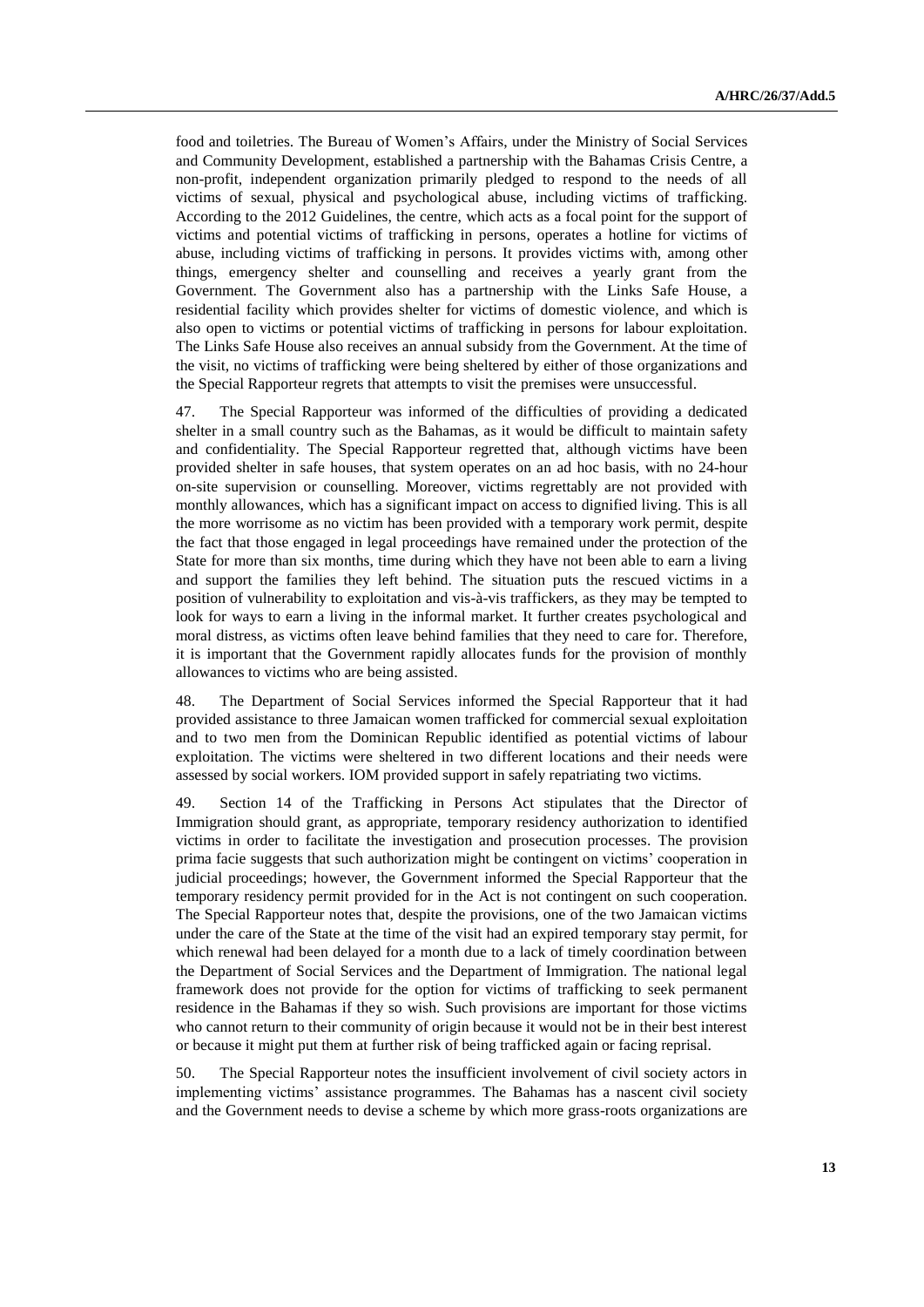food and toiletries. The Bureau of Women's Affairs, under the Ministry of Social Services and Community Development, established a partnership with the Bahamas Crisis Centre, a non-profit, independent organization primarily pledged to respond to the needs of all victims of sexual, physical and psychological abuse, including victims of trafficking. According to the 2012 Guidelines, the centre, which acts as a focal point for the support of victims and potential victims of trafficking in persons, operates a hotline for victims of abuse, including victims of trafficking in persons. It provides victims with, among other things, emergency shelter and counselling and receives a yearly grant from the Government. The Government also has a partnership with the Links Safe House, a residential facility which provides shelter for victims of domestic violence, and which is also open to victims or potential victims of trafficking in persons for labour exploitation. The Links Safe House also receives an annual subsidy from the Government. At the time of the visit, no victims of trafficking were being sheltered by either of those organizations and the Special Rapporteur regrets that attempts to visit the premises were unsuccessful.

47. The Special Rapporteur was informed of the difficulties of providing a dedicated shelter in a small country such as the Bahamas, as it would be difficult to maintain safety and confidentiality. The Special Rapporteur regretted that, although victims have been provided shelter in safe houses, that system operates on an ad hoc basis, with no 24-hour on-site supervision or counselling. Moreover, victims regrettably are not provided with monthly allowances, which has a significant impact on access to dignified living. This is all the more worrisome as no victim has been provided with a temporary work permit, despite the fact that those engaged in legal proceedings have remained under the protection of the State for more than six months, time during which they have not been able to earn a living and support the families they left behind. The situation puts the rescued victims in a position of vulnerability to exploitation and vis-à-vis traffickers, as they may be tempted to look for ways to earn a living in the informal market. It further creates psychological and moral distress, as victims often leave behind families that they need to care for. Therefore, it is important that the Government rapidly allocates funds for the provision of monthly allowances to victims who are being assisted.

48. The Department of Social Services informed the Special Rapporteur that it had provided assistance to three Jamaican women trafficked for commercial sexual exploitation and to two men from the Dominican Republic identified as potential victims of labour exploitation. The victims were sheltered in two different locations and their needs were assessed by social workers. IOM provided support in safely repatriating two victims.

49. Section 14 of the Trafficking in Persons Act stipulates that the Director of Immigration should grant, as appropriate, temporary residency authorization to identified victims in order to facilitate the investigation and prosecution processes. The provision prima facie suggests that such authorization might be contingent on victims' cooperation in judicial proceedings; however, the Government informed the Special Rapporteur that the temporary residency permit provided for in the Act is not contingent on such cooperation. The Special Rapporteur notes that, despite the provisions, one of the two Jamaican victims under the care of the State at the time of the visit had an expired temporary stay permit, for which renewal had been delayed for a month due to a lack of timely coordination between the Department of Social Services and the Department of Immigration. The national legal framework does not provide for the option for victims of trafficking to seek permanent residence in the Bahamas if they so wish. Such provisions are important for those victims who cannot return to their community of origin because it would not be in their best interest or because it might put them at further risk of being trafficked again or facing reprisal.

50. The Special Rapporteur notes the insufficient involvement of civil society actors in implementing victims' assistance programmes. The Bahamas has a nascent civil society and the Government needs to devise a scheme by which more grass-roots organizations are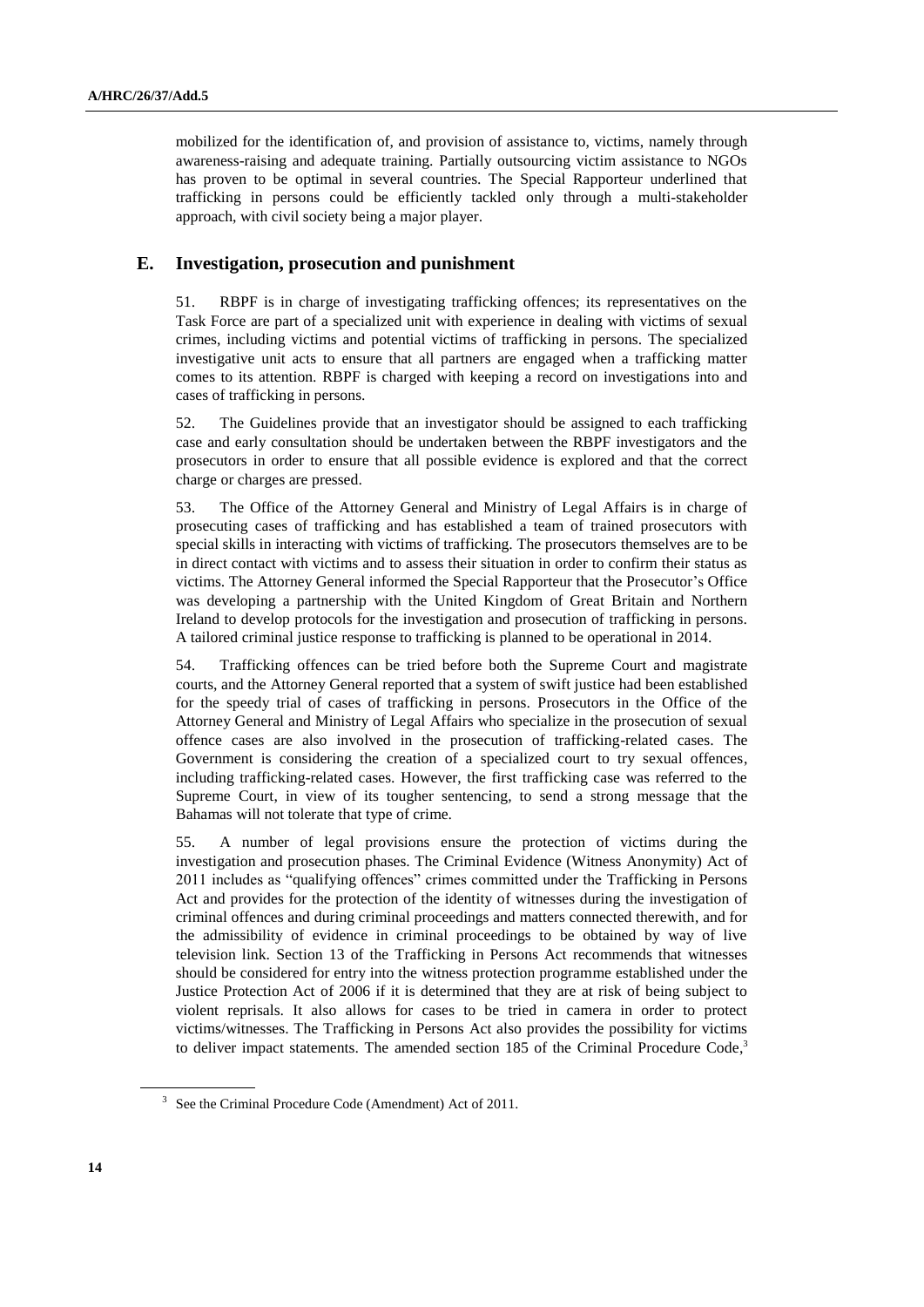mobilized for the identification of, and provision of assistance to, victims, namely through awareness-raising and adequate training. Partially outsourcing victim assistance to NGOs has proven to be optimal in several countries. The Special Rapporteur underlined that trafficking in persons could be efficiently tackled only through a multi-stakeholder approach, with civil society being a major player.

## **E. Investigation, prosecution and punishment**

51. RBPF is in charge of investigating trafficking offences; its representatives on the Task Force are part of a specialized unit with experience in dealing with victims of sexual crimes, including victims and potential victims of trafficking in persons. The specialized investigative unit acts to ensure that all partners are engaged when a trafficking matter comes to its attention. RBPF is charged with keeping a record on investigations into and cases of trafficking in persons.

52. The Guidelines provide that an investigator should be assigned to each trafficking case and early consultation should be undertaken between the RBPF investigators and the prosecutors in order to ensure that all possible evidence is explored and that the correct charge or charges are pressed.

53. The Office of the Attorney General and Ministry of Legal Affairs is in charge of prosecuting cases of trafficking and has established a team of trained prosecutors with special skills in interacting with victims of trafficking. The prosecutors themselves are to be in direct contact with victims and to assess their situation in order to confirm their status as victims. The Attorney General informed the Special Rapporteur that the Prosecutor's Office was developing a partnership with the United Kingdom of Great Britain and Northern Ireland to develop protocols for the investigation and prosecution of trafficking in persons. A tailored criminal justice response to trafficking is planned to be operational in 2014.

54. Trafficking offences can be tried before both the Supreme Court and magistrate courts, and the Attorney General reported that a system of swift justice had been established for the speedy trial of cases of trafficking in persons. Prosecutors in the Office of the Attorney General and Ministry of Legal Affairs who specialize in the prosecution of sexual offence cases are also involved in the prosecution of trafficking-related cases. The Government is considering the creation of a specialized court to try sexual offences, including trafficking-related cases. However, the first trafficking case was referred to the Supreme Court, in view of its tougher sentencing, to send a strong message that the Bahamas will not tolerate that type of crime.

55. A number of legal provisions ensure the protection of victims during the investigation and prosecution phases. The Criminal Evidence (Witness Anonymity) Act of 2011 includes as "qualifying offences" crimes committed under the Trafficking in Persons Act and provides for the protection of the identity of witnesses during the investigation of criminal offences and during criminal proceedings and matters connected therewith, and for the admissibility of evidence in criminal proceedings to be obtained by way of live television link. Section 13 of the Trafficking in Persons Act recommends that witnesses should be considered for entry into the witness protection programme established under the Justice Protection Act of 2006 if it is determined that they are at risk of being subject to violent reprisals. It also allows for cases to be tried in camera in order to protect victims/witnesses. The Trafficking in Persons Act also provides the possibility for victims to deliver impact statements. The amended section 185 of the Criminal Procedure Code,<sup>3</sup>

<sup>&</sup>lt;sup>3</sup> See the Criminal Procedure Code (Amendment) Act of 2011.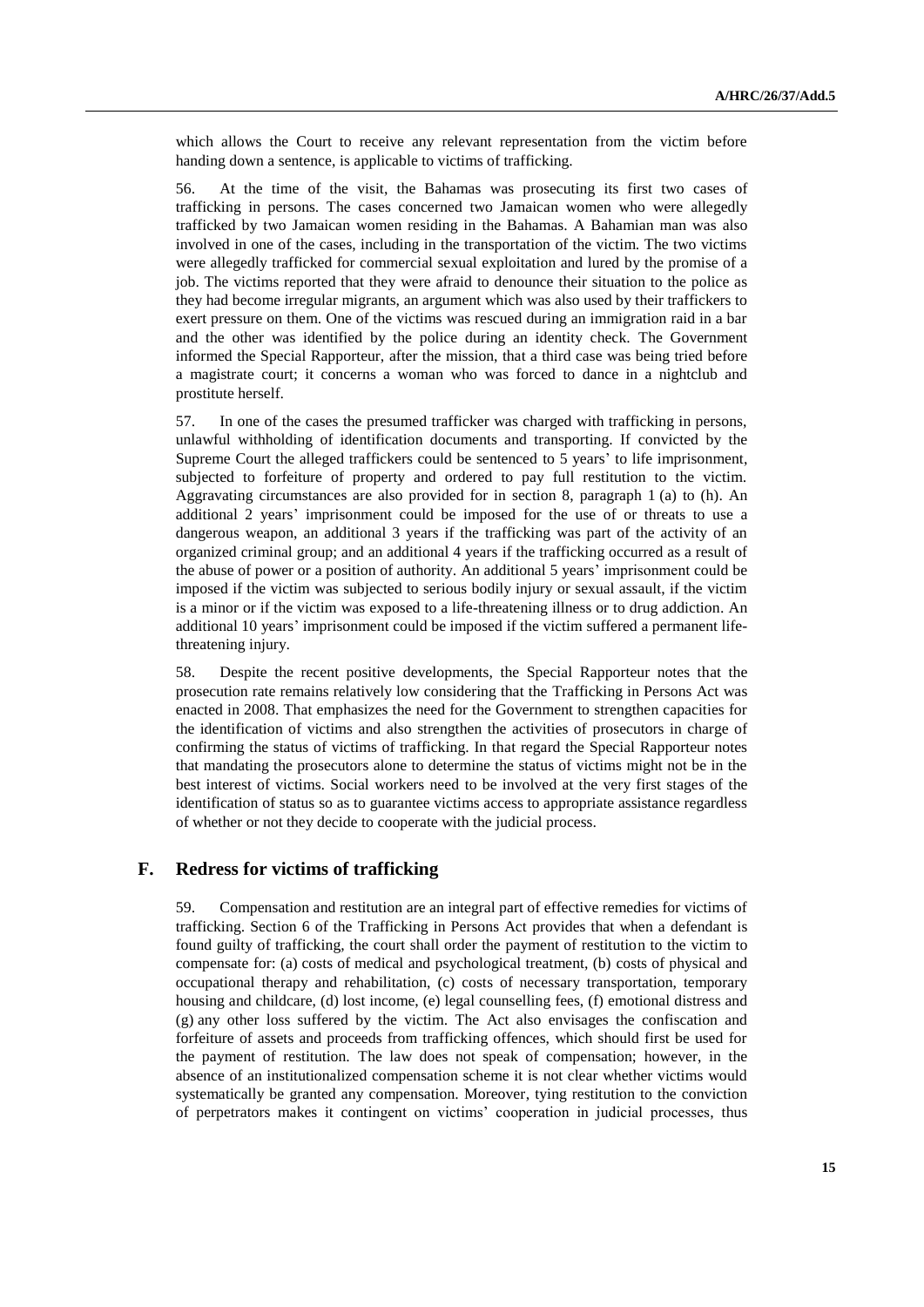which allows the Court to receive any relevant representation from the victim before handing down a sentence, is applicable to victims of trafficking.

56. At the time of the visit, the Bahamas was prosecuting its first two cases of trafficking in persons. The cases concerned two Jamaican women who were allegedly trafficked by two Jamaican women residing in the Bahamas. A Bahamian man was also involved in one of the cases, including in the transportation of the victim. The two victims were allegedly trafficked for commercial sexual exploitation and lured by the promise of a job. The victims reported that they were afraid to denounce their situation to the police as they had become irregular migrants, an argument which was also used by their traffickers to exert pressure on them. One of the victims was rescued during an immigration raid in a bar and the other was identified by the police during an identity check. The Government informed the Special Rapporteur, after the mission, that a third case was being tried before a magistrate court; it concerns a woman who was forced to dance in a nightclub and prostitute herself.

57. In one of the cases the presumed trafficker was charged with trafficking in persons, unlawful withholding of identification documents and transporting. If convicted by the Supreme Court the alleged traffickers could be sentenced to 5 years' to life imprisonment, subjected to forfeiture of property and ordered to pay full restitution to the victim. Aggravating circumstances are also provided for in section 8, paragraph 1 (a) to (h). An additional 2 years' imprisonment could be imposed for the use of or threats to use a dangerous weapon, an additional 3 years if the trafficking was part of the activity of an organized criminal group; and an additional 4 years if the trafficking occurred as a result of the abuse of power or a position of authority. An additional 5 years' imprisonment could be imposed if the victim was subjected to serious bodily injury or sexual assault, if the victim is a minor or if the victim was exposed to a life-threatening illness or to drug addiction. An additional 10 years' imprisonment could be imposed if the victim suffered a permanent lifethreatening injury.

58. Despite the recent positive developments, the Special Rapporteur notes that the prosecution rate remains relatively low considering that the Trafficking in Persons Act was enacted in 2008. That emphasizes the need for the Government to strengthen capacities for the identification of victims and also strengthen the activities of prosecutors in charge of confirming the status of victims of trafficking. In that regard the Special Rapporteur notes that mandating the prosecutors alone to determine the status of victims might not be in the best interest of victims. Social workers need to be involved at the very first stages of the identification of status so as to guarantee victims access to appropriate assistance regardless of whether or not they decide to cooperate with the judicial process.

## **F. Redress for victims of trafficking**

59. Compensation and restitution are an integral part of effective remedies for victims of trafficking. Section 6 of the Trafficking in Persons Act provides that when a defendant is found guilty of trafficking, the court shall order the payment of restitution to the victim to compensate for: (a) costs of medical and psychological treatment, (b) costs of physical and occupational therapy and rehabilitation, (c) costs of necessary transportation, temporary housing and childcare, (d) lost income, (e) legal counselling fees, (f) emotional distress and (g) any other loss suffered by the victim. The Act also envisages the confiscation and forfeiture of assets and proceeds from trafficking offences, which should first be used for the payment of restitution. The law does not speak of compensation; however, in the absence of an institutionalized compensation scheme it is not clear whether victims would systematically be granted any compensation. Moreover, tying restitution to the conviction of perpetrators makes it contingent on victims' cooperation in judicial processes, thus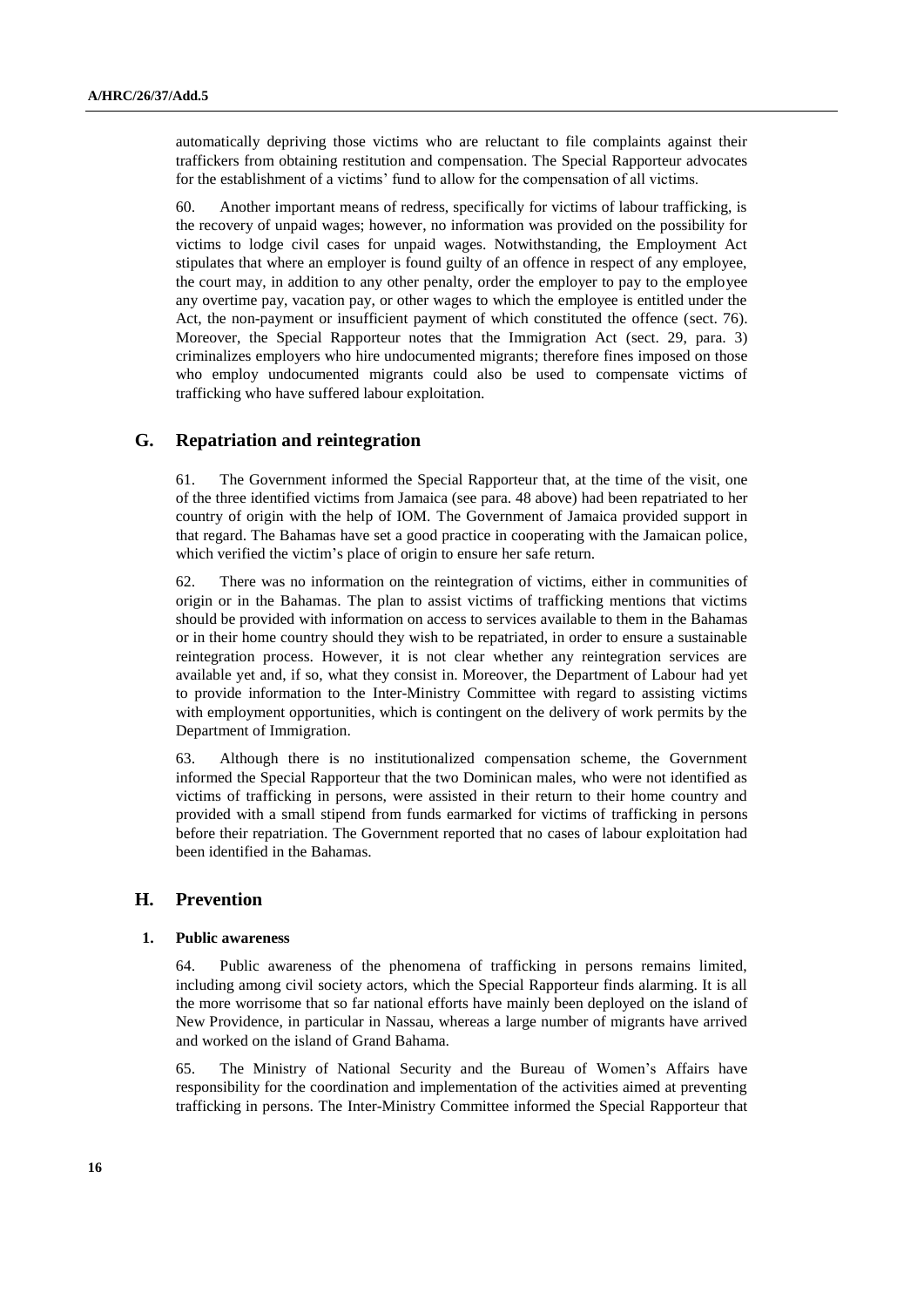automatically depriving those victims who are reluctant to file complaints against their traffickers from obtaining restitution and compensation. The Special Rapporteur advocates for the establishment of a victims' fund to allow for the compensation of all victims.

60. Another important means of redress, specifically for victims of labour trafficking, is the recovery of unpaid wages; however, no information was provided on the possibility for victims to lodge civil cases for unpaid wages. Notwithstanding, the Employment Act stipulates that where an employer is found guilty of an offence in respect of any employee, the court may, in addition to any other penalty, order the employer to pay to the employee any overtime pay, vacation pay, or other wages to which the employee is entitled under the Act, the non-payment or insufficient payment of which constituted the offence (sect. 76). Moreover, the Special Rapporteur notes that the Immigration Act (sect. 29, para. 3) criminalizes employers who hire undocumented migrants; therefore fines imposed on those who employ undocumented migrants could also be used to compensate victims of trafficking who have suffered labour exploitation.

## **G. Repatriation and reintegration**

61. The Government informed the Special Rapporteur that, at the time of the visit, one of the three identified victims from Jamaica (see para. 48 above) had been repatriated to her country of origin with the help of IOM. The Government of Jamaica provided support in that regard. The Bahamas have set a good practice in cooperating with the Jamaican police, which verified the victim's place of origin to ensure her safe return.

62. There was no information on the reintegration of victims, either in communities of origin or in the Bahamas. The plan to assist victims of trafficking mentions that victims should be provided with information on access to services available to them in the Bahamas or in their home country should they wish to be repatriated, in order to ensure a sustainable reintegration process. However, it is not clear whether any reintegration services are available yet and, if so, what they consist in. Moreover, the Department of Labour had yet to provide information to the Inter-Ministry Committee with regard to assisting victims with employment opportunities, which is contingent on the delivery of work permits by the Department of Immigration.

63. Although there is no institutionalized compensation scheme, the Government informed the Special Rapporteur that the two Dominican males, who were not identified as victims of trafficking in persons, were assisted in their return to their home country and provided with a small stipend from funds earmarked for victims of trafficking in persons before their repatriation. The Government reported that no cases of labour exploitation had been identified in the Bahamas.

## **H. Prevention**

### **1. Public awareness**

64. Public awareness of the phenomena of trafficking in persons remains limited, including among civil society actors, which the Special Rapporteur finds alarming. It is all the more worrisome that so far national efforts have mainly been deployed on the island of New Providence, in particular in Nassau, whereas a large number of migrants have arrived and worked on the island of Grand Bahama.

65. The Ministry of National Security and the Bureau of Women's Affairs have responsibility for the coordination and implementation of the activities aimed at preventing trafficking in persons. The Inter-Ministry Committee informed the Special Rapporteur that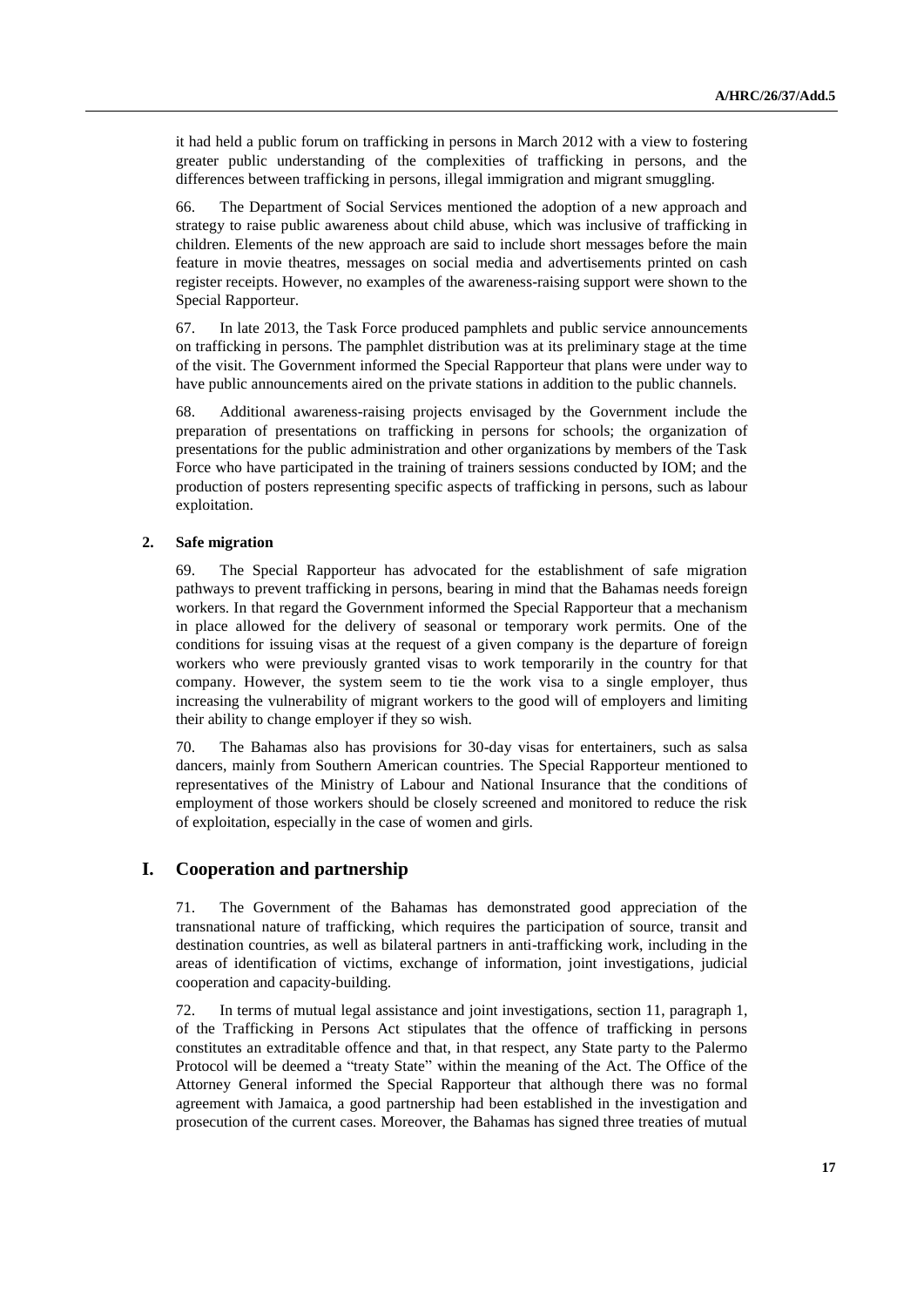it had held a public forum on trafficking in persons in March 2012 with a view to fostering greater public understanding of the complexities of trafficking in persons, and the differences between trafficking in persons, illegal immigration and migrant smuggling.

66. The Department of Social Services mentioned the adoption of a new approach and strategy to raise public awareness about child abuse, which was inclusive of trafficking in children. Elements of the new approach are said to include short messages before the main feature in movie theatres, messages on social media and advertisements printed on cash register receipts. However, no examples of the awareness-raising support were shown to the Special Rapporteur.

67. In late 2013, the Task Force produced pamphlets and public service announcements on trafficking in persons. The pamphlet distribution was at its preliminary stage at the time of the visit. The Government informed the Special Rapporteur that plans were under way to have public announcements aired on the private stations in addition to the public channels.

68. Additional awareness-raising projects envisaged by the Government include the preparation of presentations on trafficking in persons for schools; the organization of presentations for the public administration and other organizations by members of the Task Force who have participated in the training of trainers sessions conducted by IOM; and the production of posters representing specific aspects of trafficking in persons, such as labour exploitation.

### **2. Safe migration**

69. The Special Rapporteur has advocated for the establishment of safe migration pathways to prevent trafficking in persons, bearing in mind that the Bahamas needs foreign workers. In that regard the Government informed the Special Rapporteur that a mechanism in place allowed for the delivery of seasonal or temporary work permits. One of the conditions for issuing visas at the request of a given company is the departure of foreign workers who were previously granted visas to work temporarily in the country for that company. However, the system seem to tie the work visa to a single employer, thus increasing the vulnerability of migrant workers to the good will of employers and limiting their ability to change employer if they so wish.

70. The Bahamas also has provisions for 30-day visas for entertainers, such as salsa dancers, mainly from Southern American countries. The Special Rapporteur mentioned to representatives of the Ministry of Labour and National Insurance that the conditions of employment of those workers should be closely screened and monitored to reduce the risk of exploitation, especially in the case of women and girls.

## **I. Cooperation and partnership**

71. The Government of the Bahamas has demonstrated good appreciation of the transnational nature of trafficking, which requires the participation of source, transit and destination countries, as well as bilateral partners in anti-trafficking work, including in the areas of identification of victims, exchange of information, joint investigations, judicial cooperation and capacity-building.

72. In terms of mutual legal assistance and joint investigations, section 11, paragraph 1, of the Trafficking in Persons Act stipulates that the offence of trafficking in persons constitutes an extraditable offence and that, in that respect, any State party to the Palermo Protocol will be deemed a "treaty State" within the meaning of the Act. The Office of the Attorney General informed the Special Rapporteur that although there was no formal agreement with Jamaica, a good partnership had been established in the investigation and prosecution of the current cases. Moreover, the Bahamas has signed three treaties of mutual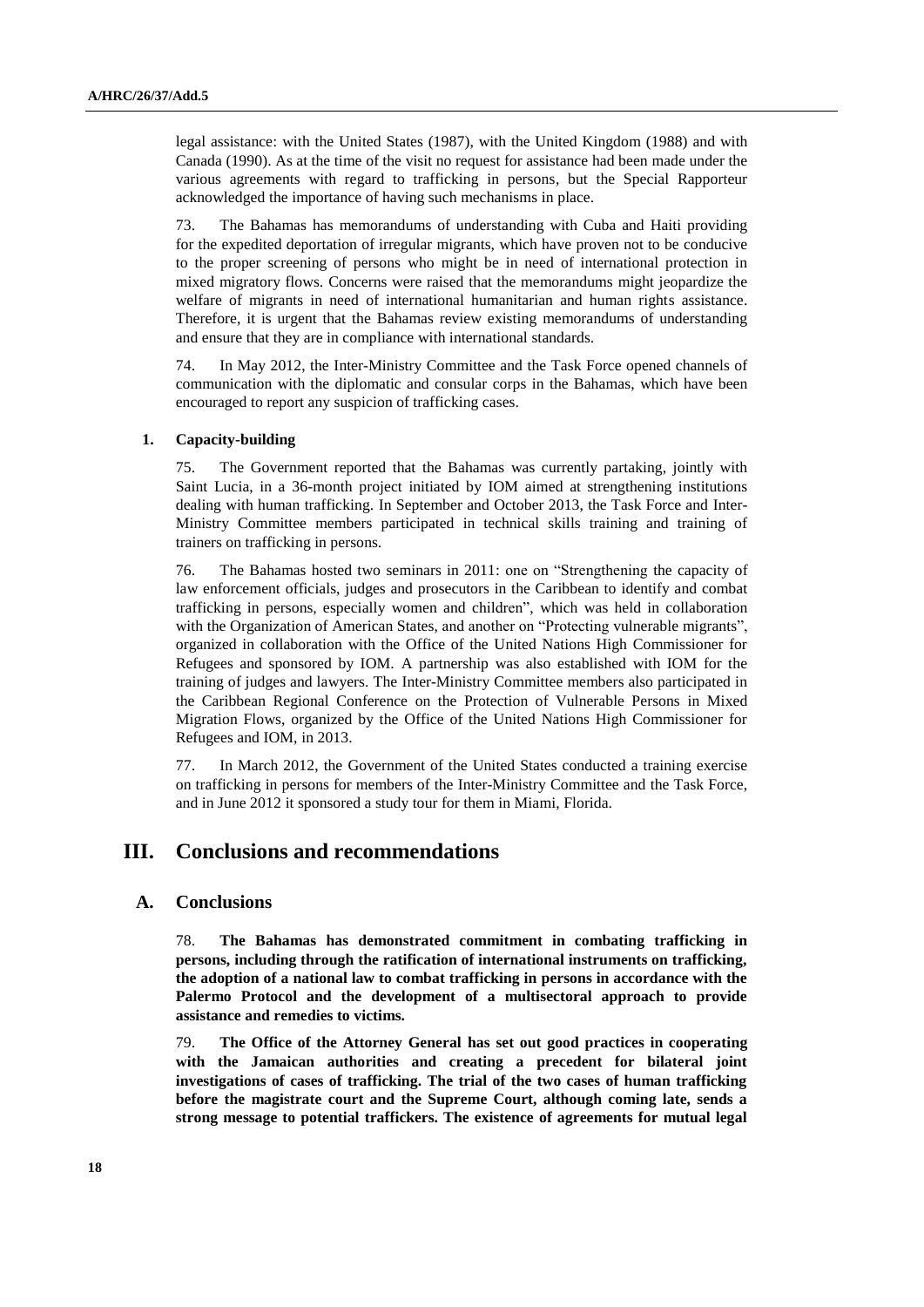legal assistance: with the United States (1987), with the United Kingdom (1988) and with Canada (1990). As at the time of the visit no request for assistance had been made under the various agreements with regard to trafficking in persons, but the Special Rapporteur acknowledged the importance of having such mechanisms in place.

73. The Bahamas has memorandums of understanding with Cuba and Haiti providing for the expedited deportation of irregular migrants, which have proven not to be conducive to the proper screening of persons who might be in need of international protection in mixed migratory flows. Concerns were raised that the memorandums might jeopardize the welfare of migrants in need of international humanitarian and human rights assistance. Therefore, it is urgent that the Bahamas review existing memorandums of understanding and ensure that they are in compliance with international standards.

74. In May 2012, the Inter-Ministry Committee and the Task Force opened channels of communication with the diplomatic and consular corps in the Bahamas, which have been encouraged to report any suspicion of trafficking cases.

#### **1. Capacity-building**

75. The Government reported that the Bahamas was currently partaking, jointly with Saint Lucia, in a 36-month project initiated by IOM aimed at strengthening institutions dealing with human trafficking. In September and October 2013, the Task Force and Inter-Ministry Committee members participated in technical skills training and training of trainers on trafficking in persons.

76. The Bahamas hosted two seminars in 2011: one on "Strengthening the capacity of law enforcement officials, judges and prosecutors in the Caribbean to identify and combat trafficking in persons, especially women and children", which was held in collaboration with the Organization of American States, and another on "Protecting vulnerable migrants", organized in collaboration with the Office of the United Nations High Commissioner for Refugees and sponsored by IOM. A partnership was also established with IOM for the training of judges and lawyers. The Inter-Ministry Committee members also participated in the Caribbean Regional Conference on the Protection of Vulnerable Persons in Mixed Migration Flows, organized by the Office of the United Nations High Commissioner for Refugees and IOM, in 2013.

77. In March 2012, the Government of the United States conducted a training exercise on trafficking in persons for members of the Inter-Ministry Committee and the Task Force, and in June 2012 it sponsored a study tour for them in Miami, Florida.

## **III. Conclusions and recommendations**

### **A. Conclusions**

78. **The Bahamas has demonstrated commitment in combating trafficking in persons, including through the ratification of international instruments on trafficking, the adoption of a national law to combat trafficking in persons in accordance with the Palermo Protocol and the development of a multisectoral approach to provide assistance and remedies to victims.** 

79. **The Office of the Attorney General has set out good practices in cooperating with the Jamaican authorities and creating a precedent for bilateral joint investigations of cases of trafficking. The trial of the two cases of human trafficking before the magistrate court and the Supreme Court, although coming late, sends a strong message to potential traffickers. The existence of agreements for mutual legal**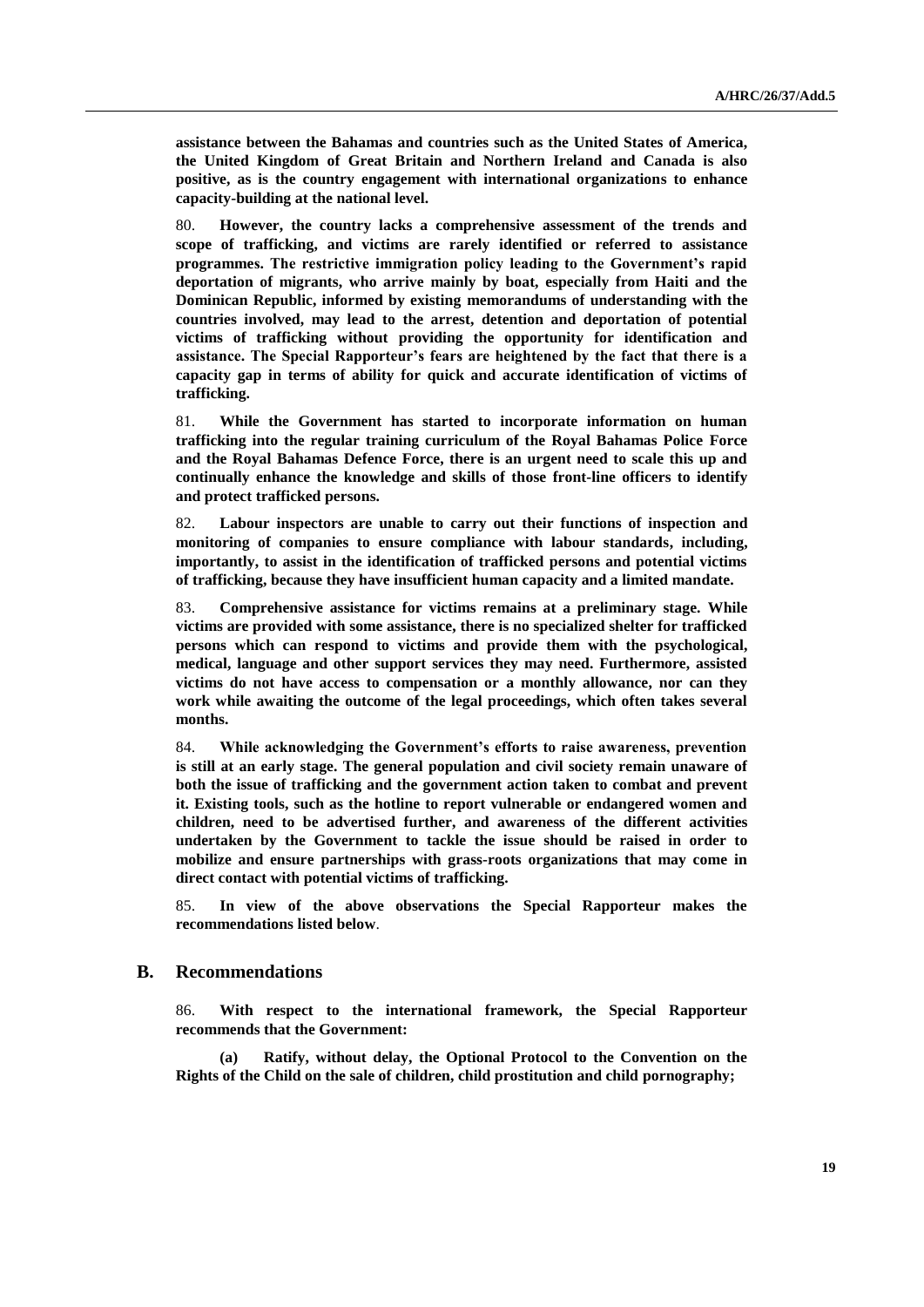**assistance between the Bahamas and countries such as the United States of America, the United Kingdom of Great Britain and Northern Ireland and Canada is also positive, as is the country engagement with international organizations to enhance capacity-building at the national level.** 

80. **However, the country lacks a comprehensive assessment of the trends and scope of trafficking, and victims are rarely identified or referred to assistance programmes. The restrictive immigration policy leading to the Government's rapid deportation of migrants, who arrive mainly by boat, especially from Haiti and the Dominican Republic, informed by existing memorandums of understanding with the countries involved, may lead to the arrest, detention and deportation of potential victims of trafficking without providing the opportunity for identification and assistance. The Special Rapporteur's fears are heightened by the fact that there is a capacity gap in terms of ability for quick and accurate identification of victims of trafficking.**

81. **While the Government has started to incorporate information on human trafficking into the regular training curriculum of the Royal Bahamas Police Force and the Royal Bahamas Defence Force, there is an urgent need to scale this up and continually enhance the knowledge and skills of those front-line officers to identify and protect trafficked persons.** 

82. **Labour inspectors are unable to carry out their functions of inspection and monitoring of companies to ensure compliance with labour standards, including, importantly, to assist in the identification of trafficked persons and potential victims of trafficking, because they have insufficient human capacity and a limited mandate.** 

83. **Comprehensive assistance for victims remains at a preliminary stage. While victims are provided with some assistance, there is no specialized shelter for trafficked persons which can respond to victims and provide them with the psychological, medical, language and other support services they may need. Furthermore, assisted victims do not have access to compensation or a monthly allowance, nor can they work while awaiting the outcome of the legal proceedings, which often takes several months.**

84. **While acknowledging the Government's efforts to raise awareness, prevention is still at an early stage. The general population and civil society remain unaware of both the issue of trafficking and the government action taken to combat and prevent it. Existing tools, such as the hotline to report vulnerable or endangered women and children, need to be advertised further, and awareness of the different activities undertaken by the Government to tackle the issue should be raised in order to mobilize and ensure partnerships with grass-roots organizations that may come in direct contact with potential victims of trafficking.** 

85. **In view of the above observations the Special Rapporteur makes the recommendations listed below**.

### **B. Recommendations**

86. **With respect to the international framework, the Special Rapporteur recommends that the Government:**

**(a) Ratify, without delay, the Optional Protocol to the Convention on the Rights of the Child on the sale of children, child prostitution and child pornography;**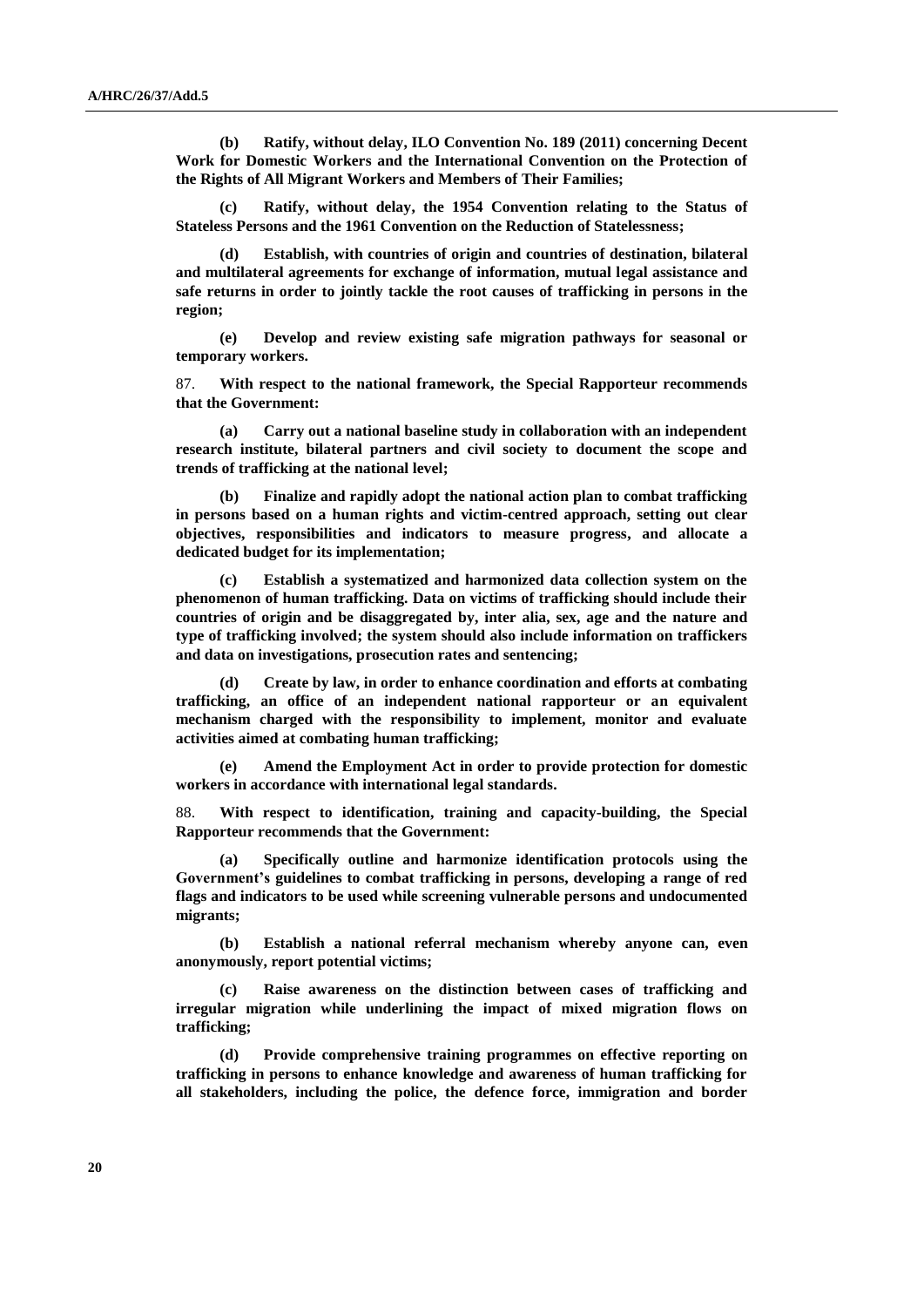**(b) Ratify, without delay, ILO Convention No. 189 (2011) concerning Decent Work for Domestic Workers and the International Convention on the Protection of the Rights of All Migrant Workers and Members of Their Families;**

**(c) Ratify, without delay, the 1954 Convention relating to the Status of Stateless Persons and the 1961 Convention on the Reduction of Statelessness;**

**(d) Establish, with countries of origin and countries of destination, bilateral and multilateral agreements for exchange of information, mutual legal assistance and safe returns in order to jointly tackle the root causes of trafficking in persons in the region;**

**(e) Develop and review existing safe migration pathways for seasonal or temporary workers.**

87. **With respect to the national framework, the Special Rapporteur recommends that the Government:**

**(a) Carry out a national baseline study in collaboration with an independent research institute, bilateral partners and civil society to document the scope and trends of trafficking at the national level;**

**(b) Finalize and rapidly adopt the national action plan to combat trafficking in persons based on a human rights and victim-centred approach, setting out clear objectives, responsibilities and indicators to measure progress, and allocate a dedicated budget for its implementation;**

**(c) Establish a systematized and harmonized data collection system on the phenomenon of human trafficking. Data on victims of trafficking should include their countries of origin and be disaggregated by, inter alia, sex, age and the nature and type of trafficking involved; the system should also include information on traffickers and data on investigations, prosecution rates and sentencing;**

**(d) Create by law, in order to enhance coordination and efforts at combating trafficking, an office of an independent national rapporteur or an equivalent mechanism charged with the responsibility to implement, monitor and evaluate activities aimed at combating human trafficking;**

**(e) Amend the Employment Act in order to provide protection for domestic workers in accordance with international legal standards.**

88. **With respect to identification, training and capacity-building, the Special Rapporteur recommends that the Government:**

**(a) Specifically outline and harmonize identification protocols using the Government's guidelines to combat trafficking in persons, developing a range of red flags and indicators to be used while screening vulnerable persons and undocumented migrants;**

**(b) Establish a national referral mechanism whereby anyone can, even anonymously, report potential victims;**

**(c) Raise awareness on the distinction between cases of trafficking and irregular migration while underlining the impact of mixed migration flows on trafficking;**

**(d) Provide comprehensive training programmes on effective reporting on trafficking in persons to enhance knowledge and awareness of human trafficking for all stakeholders, including the police, the defence force, immigration and border**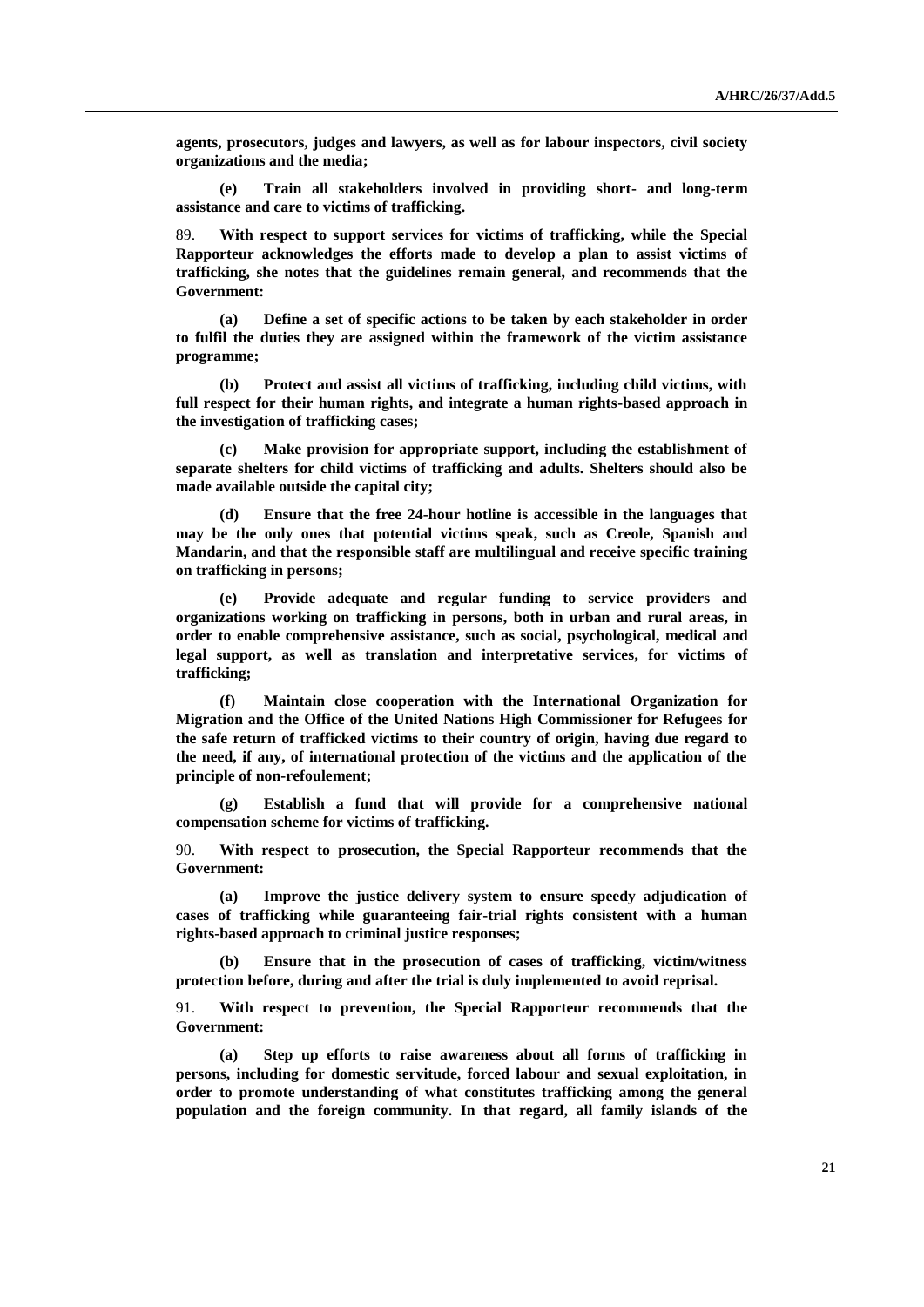**agents, prosecutors, judges and lawyers, as well as for labour inspectors, civil society organizations and the media;**

**(e) Train all stakeholders involved in providing short- and long-term assistance and care to victims of trafficking.**

89. **With respect to support services for victims of trafficking, while the Special Rapporteur acknowledges the efforts made to develop a plan to assist victims of trafficking, she notes that the guidelines remain general, and recommends that the Government:**

**(a) Define a set of specific actions to be taken by each stakeholder in order to fulfil the duties they are assigned within the framework of the victim assistance programme;**

**(b) Protect and assist all victims of trafficking, including child victims, with full respect for their human rights, and integrate a human rights-based approach in the investigation of trafficking cases;**

**(c) Make provision for appropriate support, including the establishment of separate shelters for child victims of trafficking and adults. Shelters should also be made available outside the capital city;**

**(d) Ensure that the free 24-hour hotline is accessible in the languages that may be the only ones that potential victims speak, such as Creole, Spanish and Mandarin, and that the responsible staff are multilingual and receive specific training on trafficking in persons;**

**(e) Provide adequate and regular funding to service providers and organizations working on trafficking in persons, both in urban and rural areas, in order to enable comprehensive assistance, such as social, psychological, medical and legal support, as well as translation and interpretative services, for victims of trafficking;**

**(f) Maintain close cooperation with the International Organization for Migration and the Office of the United Nations High Commissioner for Refugees for the safe return of trafficked victims to their country of origin, having due regard to the need, if any, of international protection of the victims and the application of the principle of non-refoulement;**

**(g) Establish a fund that will provide for a comprehensive national compensation scheme for victims of trafficking.**

90. **With respect to prosecution, the Special Rapporteur recommends that the Government:**

**(a) Improve the justice delivery system to ensure speedy adjudication of cases of trafficking while guaranteeing fair-trial rights consistent with a human rights-based approach to criminal justice responses;**

**(b) Ensure that in the prosecution of cases of trafficking, victim/witness protection before, during and after the trial is duly implemented to avoid reprisal.**

91. **With respect to prevention, the Special Rapporteur recommends that the Government:**

**(a) Step up efforts to raise awareness about all forms of trafficking in persons, including for domestic servitude, forced labour and sexual exploitation, in order to promote understanding of what constitutes trafficking among the general population and the foreign community. In that regard, all family islands of the**